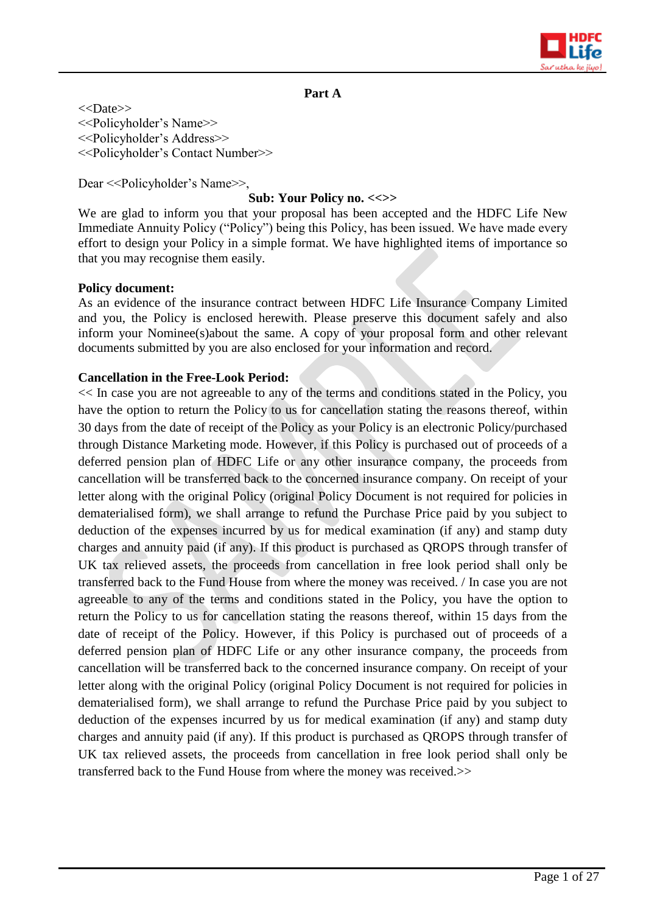

# **Part A**

<<Date>> <<Policyholder's Name>> <<Policyholder's Address>> <<Policyholder's Contact Number>>

Dear <<Policyholder's Name>>,

#### **Sub: Your Policy no. <<>>**

We are glad to inform you that your proposal has been accepted and the HDFC Life New Immediate Annuity Policy ("Policy") being this Policy, has been issued. We have made every effort to design your Policy in a simple format. We have highlighted items of importance so that you may recognise them easily.

#### **Policy document:**

As an evidence of the insurance contract between HDFC Life Insurance Company Limited and you, the Policy is enclosed herewith. Please preserve this document safely and also inform your Nominee(s)about the same. A copy of your proposal form and other relevant documents submitted by you are also enclosed for your information and record.

#### **Cancellation in the Free-Look Period:**

<< In case you are not agreeable to any of the terms and conditions stated in the Policy, you have the option to return the Policy to us for cancellation stating the reasons thereof, within 30 days from the date of receipt of the Policy as your Policy is an electronic Policy/purchased through Distance Marketing mode. However, if this Policy is purchased out of proceeds of a deferred pension plan of HDFC Life or any other insurance company, the proceeds from cancellation will be transferred back to the concerned insurance company. On receipt of your letter along with the original Policy (original Policy Document is not required for policies in dematerialised form), we shall arrange to refund the Purchase Price paid by you subject to deduction of the expenses incurred by us for medical examination (if any) and stamp duty charges and annuity paid (if any). If this product is purchased as QROPS through transfer of UK tax relieved assets, the proceeds from cancellation in free look period shall only be transferred back to the Fund House from where the money was received. / In case you are not agreeable to any of the terms and conditions stated in the Policy, you have the option to return the Policy to us for cancellation stating the reasons thereof, within 15 days from the date of receipt of the Policy. However, if this Policy is purchased out of proceeds of a deferred pension plan of HDFC Life or any other insurance company, the proceeds from cancellation will be transferred back to the concerned insurance company. On receipt of your letter along with the original Policy (original Policy Document is not required for policies in dematerialised form), we shall arrange to refund the Purchase Price paid by you subject to deduction of the expenses incurred by us for medical examination (if any) and stamp duty charges and annuity paid (if any). If this product is purchased as QROPS through transfer of UK tax relieved assets, the proceeds from cancellation in free look period shall only be transferred back to the Fund House from where the money was received.>>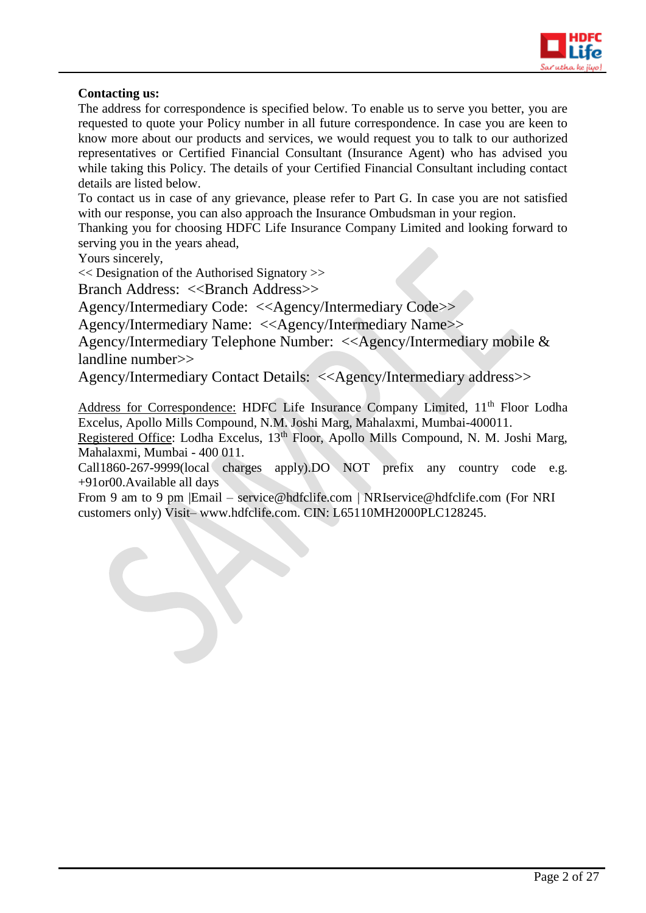

# **Contacting us:**

The address for correspondence is specified below. To enable us to serve you better, you are requested to quote your Policy number in all future correspondence. In case you are keen to know more about our products and services, we would request you to talk to our authorized representatives or Certified Financial Consultant (Insurance Agent) who has advised you while taking this Policy. The details of your Certified Financial Consultant including contact details are listed below.

To contact us in case of any grievance, please refer to Part G. In case you are not satisfied with our response, you can also approach the Insurance Ombudsman in your region.

Thanking you for choosing HDFC Life Insurance Company Limited and looking forward to serving you in the years ahead,

Yours sincerely,

<< Designation of the Authorised Signatory >>

Branch Address: <<Br/>Shanch Address>>

Agency/Intermediary Code: <<Agency/Intermediary Code>>

Agency/Intermediary Name: <<Agency/Intermediary Name>>

Agency/Intermediary Telephone Number: <<Agency/Intermediary mobile & landline number>>

Agency/Intermediary Contact Details: <<Agency/Intermediary address>>

Address for Correspondence: HDFC Life Insurance Company Limited, 11<sup>th</sup> Floor Lodha Excelus, Apollo Mills Compound, N.M. Joshi Marg, Mahalaxmi, Mumbai-400011.

Registered Office: Lodha Excelus, 13<sup>th</sup> Floor, Apollo Mills Compound, N. M. Joshi Marg, Mahalaxmi, Mumbai - 400 011.

Call1860-267-9999(local charges apply).DO NOT prefix any country code e.g. +91or00.Available all days

From 9 am to 9 pm |Email – [service@hdfclife.com](mailto:service@hdfclife.com) | [NRIservice@hdfclife.com](mailto:NRIservice@hdfclife.com) (For NRI customers only) Visit– [www.hdfclife.com.](http://www.hdfclife.com/) CIN: L65110MH2000PLC128245.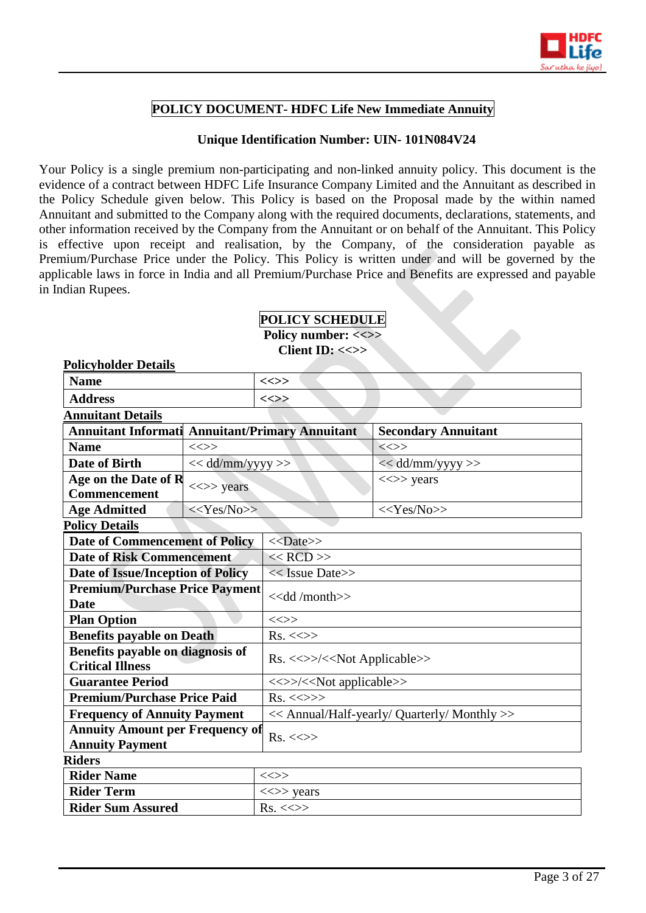

# **POLICY DOCUMENT- HDFC Life New Immediate Annuity**

# **Unique Identification Number: UIN- 101N084V24**

Your Policy is a single premium non-participating and non-linked annuity policy. This document is the evidence of a contract between HDFC Life Insurance Company Limited and the Annuitant as described in the Policy Schedule given below. This Policy is based on the Proposal made by the within named Annuitant and submitted to the Company along with the required documents, declarations, statements, and other information received by the Company from the Annuitant or on behalf of the Annuitant. This Policy is effective upon receipt and realisation, by the Company, of the consideration payable as Premium/Purchase Price under the Policy. This Policy is written under and will be governed by the applicable laws in force in India and all Premium/Purchase Price and Benefits are expressed and payable in Indian Rupees.

# **POLICY SCHEDULE Policy number: <<>>**

**Policyholder Details**

**Client ID: <<>>**

| і онсуповисі <i>Б</i> евинэ                                      |                                         |                                              |                            |  |
|------------------------------------------------------------------|-----------------------------------------|----------------------------------------------|----------------------------|--|
| <b>Name</b>                                                      |                                         | $\ll >>$                                     |                            |  |
| <b>Address</b>                                                   |                                         | $\iff$                                       |                            |  |
| <b>Annuitant Details</b>                                         |                                         |                                              |                            |  |
| <b>Annuitant Informati Annuitant/Primary Annuitant</b>           |                                         |                                              | <b>Secondary Annuitant</b> |  |
| <b>Name</b>                                                      | $\iff$                                  |                                              | $\iff$                     |  |
| <b>Date of Birth</b>                                             | << dd/mm/yyyy >>                        |                                              | << dd/mm/yyyy >>           |  |
| Age on the Date of R<br><b>Commencement</b>                      | $\langle \langle \rangle \rangle$ years |                                              | $\iff$ years               |  |
| <b>Age Admitted</b>                                              | $<<$ Yes/No>>                           |                                              | $<<$ Yes/No>>              |  |
| <b>Policy Details</b>                                            |                                         |                                              |                            |  |
| <b>Date of Commencement of Policy</b>                            |                                         | $<<$ Date>>                                  |                            |  |
| <b>Date of Risk Commencement</b>                                 |                                         | $<<$ RCD $>>$                                |                            |  |
| Date of Issue/Inception of Policy                                |                                         | $<<$ Issue Date>>                            |                            |  |
| <b>Premium/Purchase Price Payment</b><br><b>Date</b>             |                                         | < <dd month="">&gt;</dd>                     |                            |  |
| <b>Plan Option</b>                                               |                                         | $\iff$                                       |                            |  |
| <b>Benefits payable on Death</b>                                 |                                         | $Rs. \ll\gg$                                 |                            |  |
| Benefits payable on diagnosis of<br><b>Critical Illness</b>      |                                         | Rs. <<>>/< <not applicable="">&gt;</not>     |                            |  |
| <b>Guarantee Period</b>                                          |                                         | <<>>/< <not applicable="">&gt;</not>         |                            |  |
| <b>Premium/Purchase Price Paid</b>                               |                                         | $Rs. \ll\gg\gg$                              |                            |  |
| <b>Frequency of Annuity Payment</b>                              |                                         | << Annual/Half-yearly/ Quarterly/ Monthly >> |                            |  |
| <b>Annuity Amount per Frequency of</b><br><b>Annuity Payment</b> |                                         | $Rs. < \Leftrightarrow$                      |                            |  |
| <b>Riders</b>                                                    |                                         |                                              |                            |  |
| <b>Rider Name</b>                                                |                                         | $\ll >>$                                     |                            |  |
| <b>Rider Term</b>                                                |                                         | $\langle \langle \rangle \rangle$ years      |                            |  |
| <b>Rider Sum Assured</b>                                         |                                         | $Rs. \ll\gg$                                 |                            |  |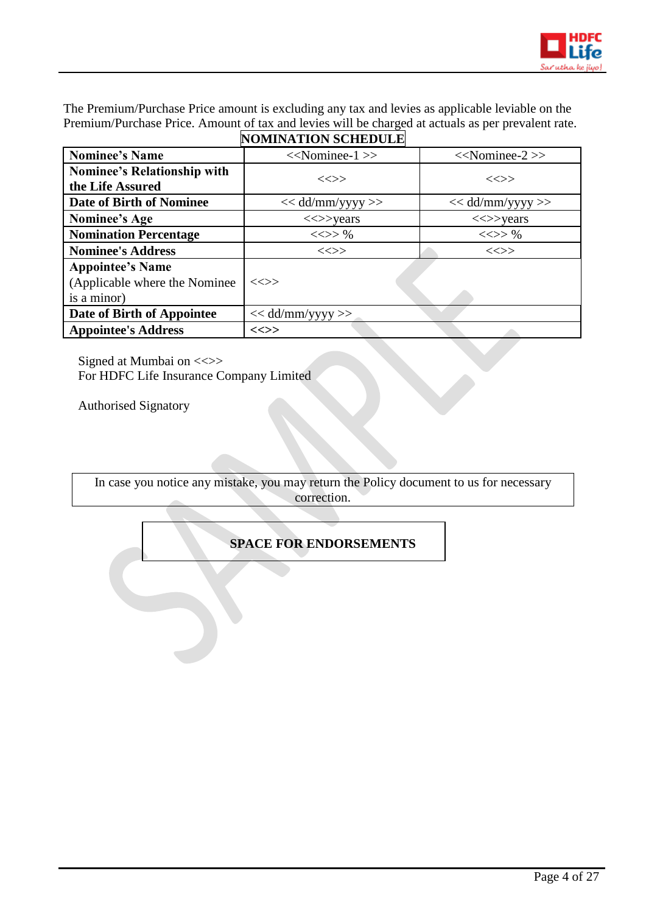

The Premium/Purchase Price amount is excluding any tax and levies as applicable leviable on the Premium/Purchase Price. Amount of tax and levies will be charged at actuals as per prevalent rate.

|                                                                          | <b>NOMINATION SCHEDULE</b>              |                                         |
|--------------------------------------------------------------------------|-----------------------------------------|-----------------------------------------|
| <b>Nominee's Name</b>                                                    | $<<$ Nominee-1 $>>$                     | $<<$ Nominee-2 $>>$                     |
| <b>Nominee's Relationship with</b><br>the Life Assured                   | $\iff$                                  | $\ll >>$                                |
| Date of Birth of Nominee                                                 | $<<$ dd/mm/yyyy >>                      | $<<$ dd/mm/yyyy >>                      |
| Nominee's Age                                                            | $\langle \langle \rangle \rangle$ years | $\langle \langle \rangle \rangle$ years |
| <b>Nomination Percentage</b>                                             | $<<>>\%$                                | $<<>>\%$                                |
| <b>Nominee's Address</b>                                                 | $\iff$                                  | $\ll >>$                                |
| <b>Appointee's Name</b><br>(Applicable where the Nominee)<br>is a minor) | $\ll >>$                                |                                         |
| Date of Birth of Appointee                                               | $<<$ dd/mm/yyyy >>                      |                                         |
| <b>Appointee's Address</b>                                               | $\ll >>$                                |                                         |

Signed at Mumbai on <<>> For HDFC Life Insurance Company Limited

Authorised Signatory

In case you notice any mistake, you may return the Policy document to us for necessary correction.

# **SPACE FOR ENDORSEMENTS**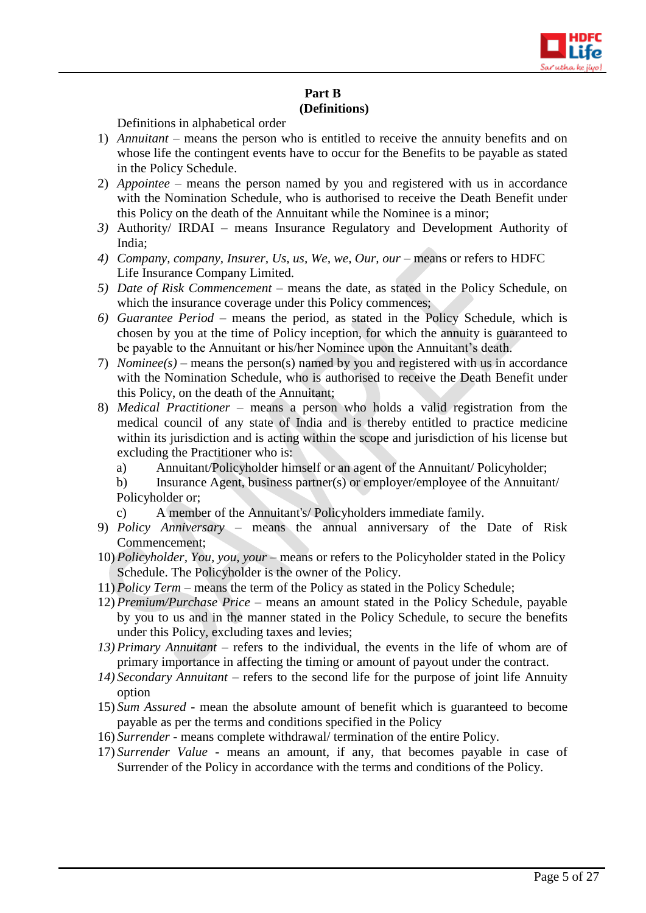

# **Part B (Definitions)**

Definitions in alphabetical order

- 1) *Annuitant –* means the person who is entitled to receive the annuity benefits and on whose life the contingent events have to occur for the Benefits to be payable as stated in the Policy Schedule.
- 2) *Appointee –* means the person named by you and registered with us in accordance with the Nomination Schedule, who is authorised to receive the Death Benefit under this Policy on the death of the Annuitant while the Nominee is a minor;
- *3)* Authority/ IRDAI means Insurance Regulatory and Development Authority of India;
- *4) Company, company, Insurer, Us, us, We, we, Our, our means or refers to HDFC* Life Insurance Company Limited.
- *5) Date of Risk Commencement –* means the date, as stated in the Policy Schedule, on which the insurance coverage under this Policy commences;
- *6) Guarantee Period*  means the period, as stated in the Policy Schedule, which is chosen by you at the time of Policy inception, for which the annuity is guaranteed to be payable to the Annuitant or his/her Nominee upon the Annuitant's death.
- 7) *Nominee(s) –* means the person(s) named by you and registered with us in accordance with the Nomination Schedule, who is authorised to receive the Death Benefit under this Policy, on the death of the Annuitant;
- 8) *Medical Practitioner*  means a person who holds a valid registration from the medical council of any state of India and is thereby entitled to practice medicine within its jurisdiction and is acting within the scope and jurisdiction of his license but excluding the Practitioner who is:
	- a) Annuitant/Policyholder himself or an agent of the Annuitant/ Policyholder;
	- b) Insurance Agent, business partner(s) or employer/employee of the Annuitant/ Policyholder or;
	- c) A member of the Annuitant's/ Policyholders immediate family.
- 9) *Policy Anniversary* means the annual anniversary of the Date of Risk Commencement;
- 10) *Policyholder, You, you, your* means or refers to the Policyholder stated in the Policy Schedule. The Policyholder is the owner of the Policy.
- 11) *Policy Term*  means the term of the Policy as stated in the Policy Schedule;
- 12) *Premium/Purchase Price*  means an amount stated in the Policy Schedule, payable by you to us and in the manner stated in the Policy Schedule, to secure the benefits under this Policy, excluding taxes and levies;
- *13) Primary Annuitant –* refers to the individual, the events in the life of whom are of primary importance in affecting the timing or amount of payout under the contract.
- *14) Secondary Annuitant* refers to the second life for the purpose of joint life Annuity option
- 15) *Sum Assured* mean the absolute amount of benefit which is guaranteed to become payable as per the terms and conditions specified in the Policy
- 16) *Surrender* means complete withdrawal/ termination of the entire Policy.
- 17) *Surrender Value* means an amount, if any, that becomes payable in case of Surrender of the Policy in accordance with the terms and conditions of the Policy.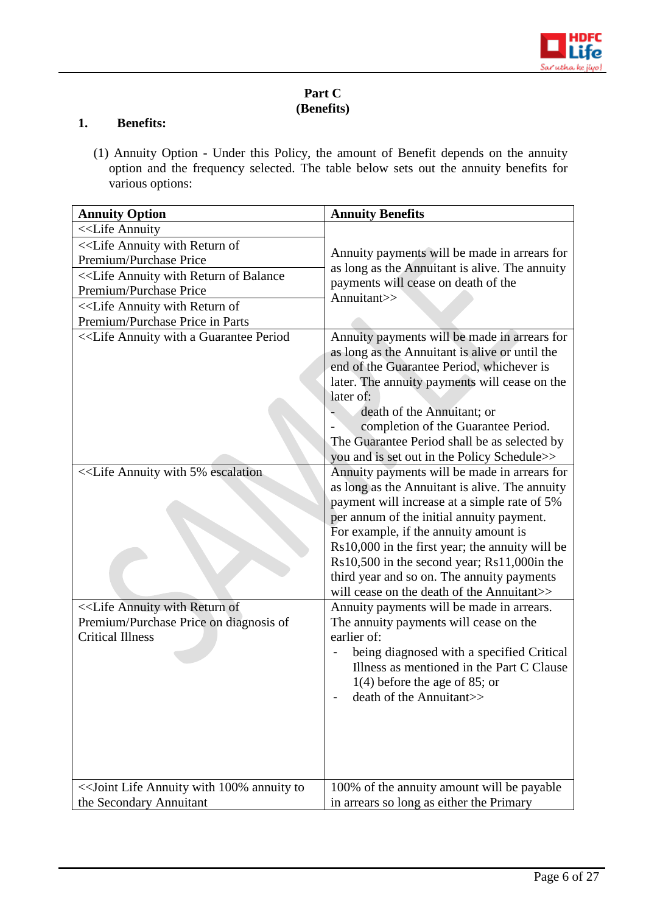

# **Part C (Benefits)**

# **1. Benefits:**

(1) Annuity Option - Under this Policy, the amount of Benefit depends on the annuity option and the frequency selected. The table below sets out the annuity benefits for various options:

| <b>Annuity Option</b>                                                                                                       | <b>Annuity Benefits</b>                                                                                                                                                                                                                                                                                                                                                                                                       |  |
|-----------------------------------------------------------------------------------------------------------------------------|-------------------------------------------------------------------------------------------------------------------------------------------------------------------------------------------------------------------------------------------------------------------------------------------------------------------------------------------------------------------------------------------------------------------------------|--|
| < <life annuity<="" td=""><td></td></life>                                                                                  |                                                                                                                                                                                                                                                                                                                                                                                                                               |  |
| < <life annuity="" of<="" return="" td="" with=""><td></td></life>                                                          |                                                                                                                                                                                                                                                                                                                                                                                                                               |  |
| Premium/Purchase Price                                                                                                      | Annuity payments will be made in arrears for                                                                                                                                                                                                                                                                                                                                                                                  |  |
| < <life annuity="" balance<="" of="" return="" td="" with=""><td>as long as the Annuitant is alive. The annuity</td></life> | as long as the Annuitant is alive. The annuity                                                                                                                                                                                                                                                                                                                                                                                |  |
| Premium/Purchase Price                                                                                                      | payments will cease on death of the<br>Annuitant>>                                                                                                                                                                                                                                                                                                                                                                            |  |
| < <life annuity="" of<="" return="" td="" with=""><td></td></life>                                                          |                                                                                                                                                                                                                                                                                                                                                                                                                               |  |
| Premium/Purchase Price in Parts                                                                                             |                                                                                                                                                                                                                                                                                                                                                                                                                               |  |
|                                                                                                                             | Annuity payments will be made in arrears for<br>as long as the Annuitant is alive or until the<br>end of the Guarantee Period, whichever is<br>later. The annuity payments will cease on the<br>later of:<br>death of the Annuitant; or<br>completion of the Guarantee Period.<br>The Guarantee Period shall be as selected by<br>you and is set out in the Policy Schedule>><br>Annuity payments will be made in arrears for |  |
|                                                                                                                             | as long as the Annuitant is alive. The annuity<br>payment will increase at a simple rate of 5%<br>per annum of the initial annuity payment.<br>For example, if the annuity amount is<br>Rs10,000 in the first year; the annuity will be<br>Rs10,500 in the second year; Rs11,000in the<br>third year and so on. The annuity payments<br>will cease on the death of the Annuitant>>                                            |  |
| < <life annuity="" of<br="" return="" with="">Premium/Purchase Price on diagnosis of<br/><b>Critical Illness</b></life>     | Annuity payments will be made in arrears.<br>The annuity payments will cease on the<br>earlier of:<br>being diagnosed with a specified Critical<br>Illness as mentioned in the Part C Clause<br>$1(4)$ before the age of 85; or<br>death of the Annuitant>>                                                                                                                                                                   |  |
| << Joint Life Annuity with 100% annuity to                                                                                  | 100% of the annuity amount will be payable                                                                                                                                                                                                                                                                                                                                                                                    |  |
| the Secondary Annuitant                                                                                                     | in arrears so long as either the Primary                                                                                                                                                                                                                                                                                                                                                                                      |  |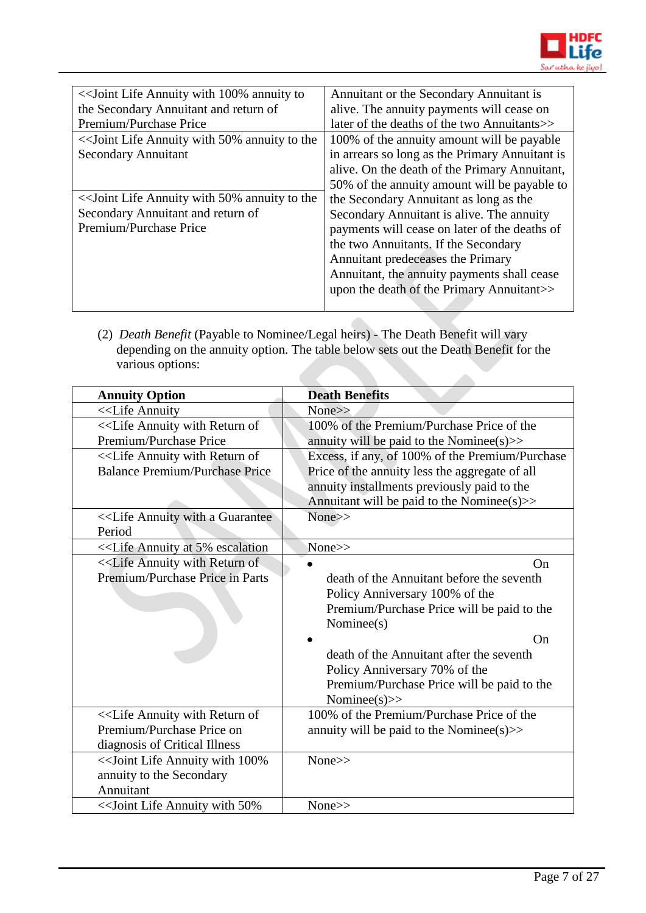

| << Joint Life Annuity with 100% annuity to    | Annuitant or the Secondary Annuitant is        |
|-----------------------------------------------|------------------------------------------------|
| the Secondary Annuitant and return of         | alive. The annuity payments will cease on      |
| Premium/Purchase Price                        | later of the deaths of the two Annuitants>>    |
| << Joint Life Annuity with 50% annuity to the | 100% of the annuity amount will be payable     |
| <b>Secondary Annuitant</b>                    | in arrears so long as the Primary Annuitant is |
|                                               | alive. On the death of the Primary Annuitant,  |
|                                               | 50% of the annuity amount will be payable to   |
| << Joint Life Annuity with 50% annuity to the | the Secondary Annuitant as long as the         |
| Secondary Annuitant and return of             | Secondary Annuitant is alive. The annuity      |
| Premium/Purchase Price                        | payments will cease on later of the deaths of  |
|                                               | the two Annuitants. If the Secondary           |
|                                               | Annuitant predeceases the Primary              |
|                                               | Annuitant, the annuity payments shall cease    |
|                                               | upon the death of the Primary Annuitant>>      |
|                                               |                                                |

(2) *Death Benefit* (Payable to Nominee/Legal heirs) - The Death Benefit will vary depending on the annuity option. The table below sets out the Death Benefit for the various options: 

| <b>Annuity Option</b>                                                                                             | <b>Death Benefits</b>                           |
|-------------------------------------------------------------------------------------------------------------------|-------------------------------------------------|
| < <life annuity<="" td=""><td>None&gt;&gt;</td></life>                                                            | None>>                                          |
| < <life annuity="" of<="" return="" td="" with=""><td>100% of the Premium/Purchase Price of the</td></life>       | 100% of the Premium/Purchase Price of the       |
| Premium/Purchase Price                                                                                            | annuity will be paid to the Nominee( $s$ ) $>$  |
| < <life annuity="" of<="" return="" td="" with=""><td>Excess, if any, of 100% of the Premium/Purchase</td></life> | Excess, if any, of 100% of the Premium/Purchase |
| <b>Balance Premium/Purchase Price</b>                                                                             | Price of the annuity less the aggregate of all  |
|                                                                                                                   | annuity installments previously paid to the     |
|                                                                                                                   | Annuitant will be paid to the Nominee(s) $>$    |
| < <life a="" annuity="" guarantee<="" td="" with=""><td>None&gt;&gt;</td></life>                                  | None>>                                          |
| Period                                                                                                            |                                                 |
| < <life 5%="" annuity="" at="" escalation<="" td=""><td>None&gt;&gt;</td></life>                                  | None>>                                          |
| < <life annuity="" of<="" return="" td="" with=""><td>On</td></life>                                              | On                                              |
| Premium/Purchase Price in Parts                                                                                   | death of the Annuitant before the seventh       |
|                                                                                                                   | Policy Anniversary 100% of the                  |
|                                                                                                                   | Premium/Purchase Price will be paid to the      |
|                                                                                                                   | Nominee(s)                                      |
|                                                                                                                   | On                                              |
|                                                                                                                   | death of the Annuitant after the seventh        |
|                                                                                                                   | Policy Anniversary 70% of the                   |
|                                                                                                                   | Premium/Purchase Price will be paid to the      |
|                                                                                                                   | Nominee(s) $>>$                                 |
| < <life annuity="" of<="" return="" td="" with=""><td>100% of the Premium/Purchase Price of the</td></life>       | 100% of the Premium/Purchase Price of the       |
| Premium/Purchase Price on                                                                                         | annuity will be paid to the Nominee(s) $\gg$    |
| diagnosis of Critical Illness                                                                                     |                                                 |
| << Joint Life Annuity with 100%                                                                                   | None>>                                          |
| annuity to the Secondary                                                                                          |                                                 |
| Annuitant                                                                                                         |                                                 |
| << Joint Life Annuity with 50%                                                                                    | None>>                                          |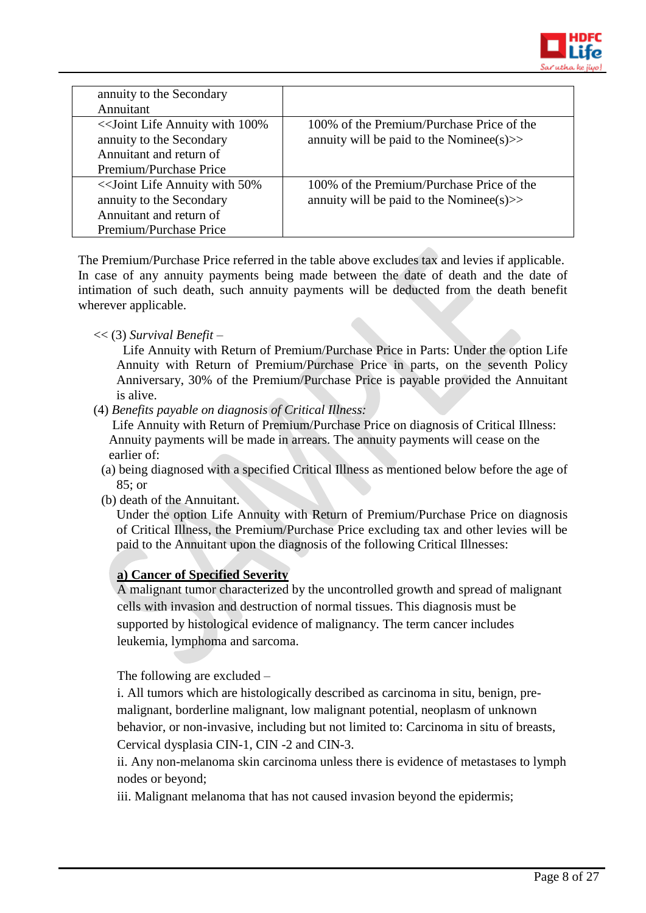

| annuity to the Secondary<br>Annuitant    |                                            |
|------------------------------------------|--------------------------------------------|
| < <a>Sout<br/>Life Annuity with 100%</a> | 100% of the Premium/Purchase Price of the  |
|                                          |                                            |
| annuity to the Secondary                 | annuity will be paid to the Nominee(s) $>$ |
| Annuitant and return of                  |                                            |
| Premium/Purchase Price                   |                                            |
| << Joint Life Annuity with 50%           | 100% of the Premium/Purchase Price of the  |
| annuity to the Secondary                 | annuity will be paid to the Nominee(s) $>$ |
| Annuitant and return of                  |                                            |
| Premium/Purchase Price                   |                                            |

The Premium/Purchase Price referred in the table above excludes tax and levies if applicable. In case of any annuity payments being made between the date of death and the date of intimation of such death, such annuity payments will be deducted from the death benefit wherever applicable.

# << (3) *Survival Benefit* –

 Life Annuity with Return of Premium/Purchase Price in Parts: Under the option Life Annuity with Return of Premium/Purchase Price in parts, on the seventh Policy Anniversary, 30% of the Premium/Purchase Price is payable provided the Annuitant is alive.

(4) *Benefits payable on diagnosis of Critical Illness:*

Life Annuity with Return of Premium/Purchase Price on diagnosis of Critical Illness: Annuity payments will be made in arrears. The annuity payments will cease on the earlier of:

- (a) being diagnosed with a specified Critical Illness as mentioned below before the age of 85; or
- (b) death of the Annuitant.

Under the option Life Annuity with Return of Premium/Purchase Price on diagnosis of Critical Illness, the Premium/Purchase Price excluding tax and other levies will be paid to the Annuitant upon the diagnosis of the following Critical Illnesses:

# **a) Cancer of Specified Severity**

A malignant tumor characterized by the uncontrolled growth and spread of malignant cells with invasion and destruction of normal tissues. This diagnosis must be supported by histological evidence of malignancy. The term cancer includes leukemia, lymphoma and sarcoma.

The following are excluded –

i. All tumors which are histologically described as carcinoma in situ, benign, premalignant, borderline malignant, low malignant potential, neoplasm of unknown behavior, or non-invasive, including but not limited to: Carcinoma in situ of breasts, Cervical dysplasia CIN-1, CIN -2 and CIN-3.

ii. Any non-melanoma skin carcinoma unless there is evidence of metastases to lymph nodes or beyond;

iii. Malignant melanoma that has not caused invasion beyond the epidermis;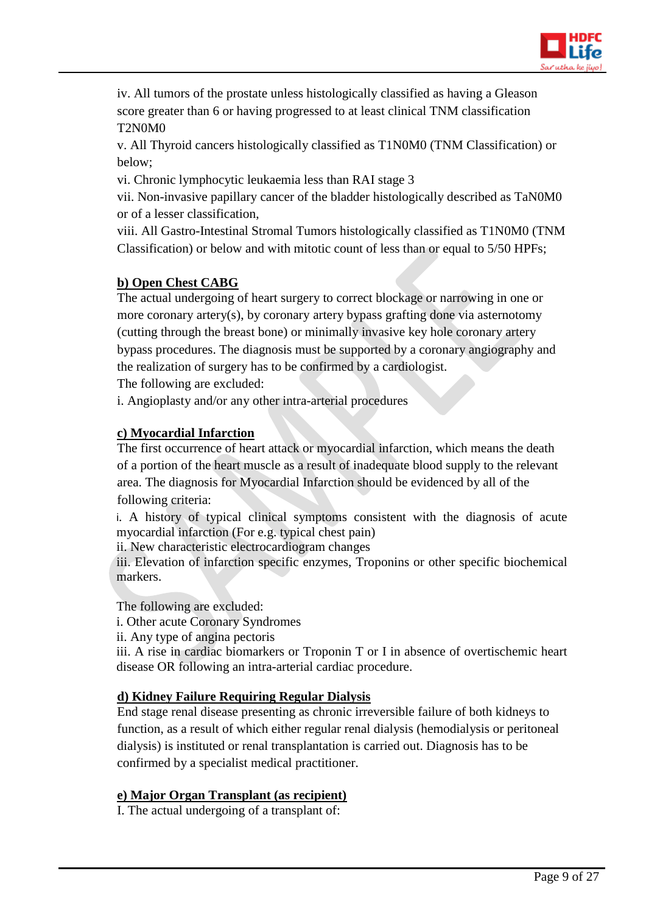

iv. All tumors of the prostate unless histologically classified as having a Gleason score greater than 6 or having progressed to at least clinical TNM classification T2N0M0

v. All Thyroid cancers histologically classified as T1N0M0 (TNM Classification) or below;

vi. Chronic lymphocytic leukaemia less than RAI stage 3

vii. Non-invasive papillary cancer of the bladder histologically described as TaN0M0 or of a lesser classification,

viii. All Gastro-Intestinal Stromal Tumors histologically classified as T1N0M0 (TNM Classification) or below and with mitotic count of less than or equal to 5/50 HPFs;

# **b) Open Chest CABG**

The actual undergoing of heart surgery to correct blockage or narrowing in one or more coronary artery(s), by coronary artery bypass grafting done via asternotomy (cutting through the breast bone) or minimally invasive key hole coronary artery bypass procedures. The diagnosis must be supported by a coronary angiography and the realization of surgery has to be confirmed by a cardiologist.

The following are excluded:

i. Angioplasty and/or any other intra-arterial procedures

# **c) Myocardial Infarction**

The first occurrence of heart attack or myocardial infarction, which means the death of a portion of the heart muscle as a result of inadequate blood supply to the relevant area. The diagnosis for Myocardial Infarction should be evidenced by all of the following criteria:

i. A history of typical clinical symptoms consistent with the diagnosis of acute myocardial infarction (For e.g. typical chest pain)

ii. New characteristic electrocardiogram changes

iii. Elevation of infarction specific enzymes, Troponins or other specific biochemical markers.

The following are excluded:

i. Other acute Coronary Syndromes

ii. Any type of angina pectoris

iii. A rise in cardiac biomarkers or Troponin T or I in absence of overtischemic heart disease OR following an intra-arterial cardiac procedure.

# **d) Kidney Failure Requiring Regular Dialysis**

End stage renal disease presenting as chronic irreversible failure of both kidneys to function, as a result of which either regular renal dialysis (hemodialysis or peritoneal dialysis) is instituted or renal transplantation is carried out. Diagnosis has to be confirmed by a specialist medical practitioner.

# **e) Major Organ Transplant (as recipient)**

I. The actual undergoing of a transplant of: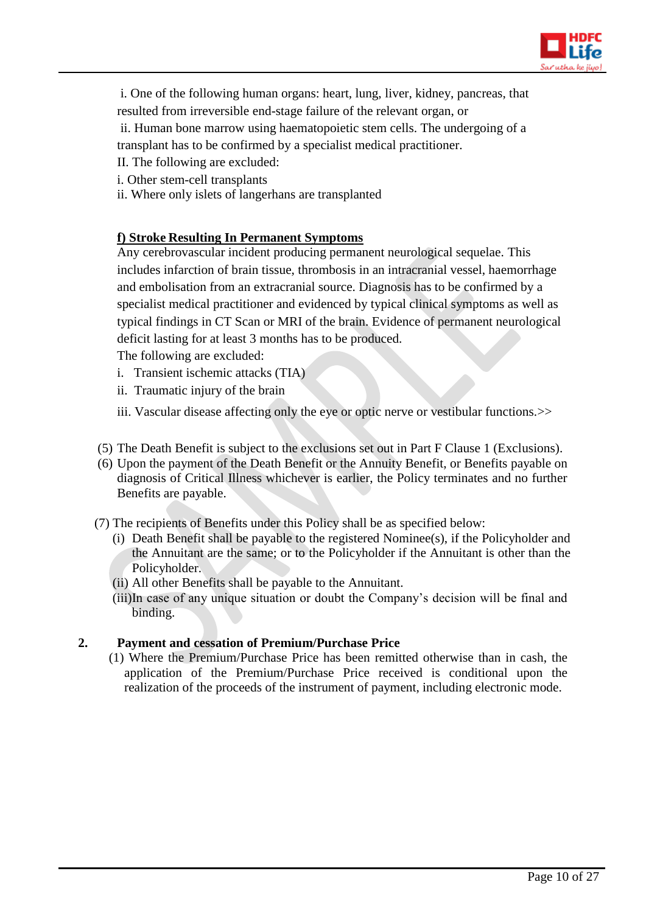

- i. One of the following human organs: heart, lung, liver, kidney, pancreas, that
- resulted from irreversible end-stage failure of the relevant organ, or

ii. Human bone marrow using haematopoietic stem cells. The undergoing of a transplant has to be confirmed by a specialist medical practitioner.

- II. The following are excluded:
- i. Other stem-cell transplants
- ii. Where only islets of langerhans are transplanted

# **f) Stroke Resulting In Permanent Symptoms**

Any cerebrovascular incident producing permanent neurological sequelae. This includes infarction of brain tissue, thrombosis in an intracranial vessel, haemorrhage and embolisation from an extracranial source. Diagnosis has to be confirmed by a specialist medical practitioner and evidenced by typical clinical symptoms as well as typical findings in CT Scan or MRI of the brain. Evidence of permanent neurological deficit lasting for at least 3 months has to be produced.

The following are excluded:

- i.Transient ischemic attacks (TIA)
- ii. Traumatic injury of the brain
- iii. Vascular disease affecting only the eye or optic nerve or vestibular functions. >>
- (5) The Death Benefit is subject to the exclusions set out in Part F Clause 1 (Exclusions).
- (6) Upon the payment of the Death Benefit or the Annuity Benefit, or Benefits payable on diagnosis of Critical Illness whichever is earlier, the Policy terminates and no further Benefits are payable.
- (7) The recipients of Benefits under this Policy shall be as specified below:
	- (i) Death Benefit shall be payable to the registered Nominee(s), if the Policyholder and the Annuitant are the same; or to the Policyholder if the Annuitant is other than the Policyholder.
	- (ii) All other Benefits shall be payable to the Annuitant.
	- (iii)In case of any unique situation or doubt the Company's decision will be final and binding.

# **2. Payment and cessation of Premium/Purchase Price**

(1) Where the Premium/Purchase Price has been remitted otherwise than in cash, the application of the Premium/Purchase Price received is conditional upon the realization of the proceeds of the instrument of payment, including electronic mode.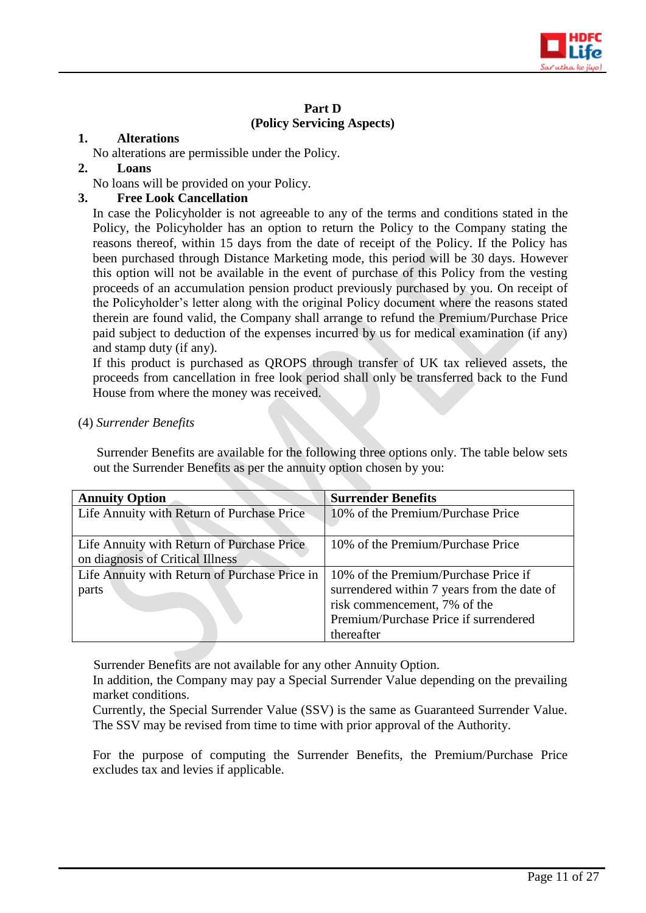

# **Part D (Policy Servicing Aspects)**

# **1. Alterations**

No alterations are permissible under the Policy.

#### **2. Loans**

No loans will be provided on your Policy.

# **3. Free Look Cancellation**

In case the Policyholder is not agreeable to any of the terms and conditions stated in the Policy, the Policyholder has an option to return the Policy to the Company stating the reasons thereof, within 15 days from the date of receipt of the Policy. If the Policy has been purchased through Distance Marketing mode, this period will be 30 days. However this option will not be available in the event of purchase of this Policy from the vesting proceeds of an accumulation pension product previously purchased by you. On receipt of the Policyholder's letter along with the original Policy document where the reasons stated therein are found valid, the Company shall arrange to refund the Premium/Purchase Price paid subject to deduction of the expenses incurred by us for medical examination (if any) and stamp duty (if any).

If this product is purchased as QROPS through transfer of UK tax relieved assets, the proceeds from cancellation in free look period shall only be transferred back to the Fund House from where the money was received.

#### (4) *Surrender Benefits*

Surrender Benefits are available for the following three options only. The table below sets out the Surrender Benefits as per the annuity option chosen by you:

| <b>Annuity Option</b>                         | <b>Surrender Benefits</b>                   |
|-----------------------------------------------|---------------------------------------------|
| Life Annuity with Return of Purchase Price    | 10% of the Premium/Purchase Price           |
|                                               |                                             |
| Life Annuity with Return of Purchase Price    | 10% of the Premium/Purchase Price           |
| on diagnosis of Critical Illness              |                                             |
| Life Annuity with Return of Purchase Price in | 10% of the Premium/Purchase Price if        |
| parts                                         | surrendered within 7 years from the date of |
|                                               | risk commencement, 7% of the                |
|                                               | Premium/Purchase Price if surrendered       |
|                                               | thereafter                                  |

Surrender Benefits are not available for any other Annuity Option.

In addition, the Company may pay a Special Surrender Value depending on the prevailing market conditions.

Currently, the Special Surrender Value (SSV) is the same as Guaranteed Surrender Value. The SSV may be revised from time to time with prior approval of the Authority.

For the purpose of computing the Surrender Benefits, the Premium/Purchase Price excludes tax and levies if applicable.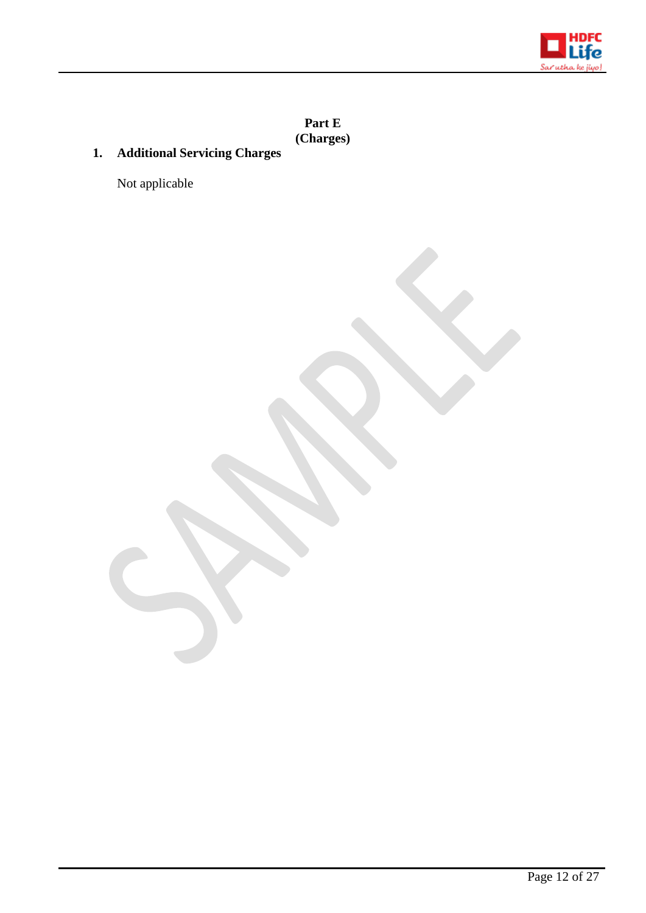

**Part E (Charges)**

# **1. Additional Servicing Charges**

Not applicable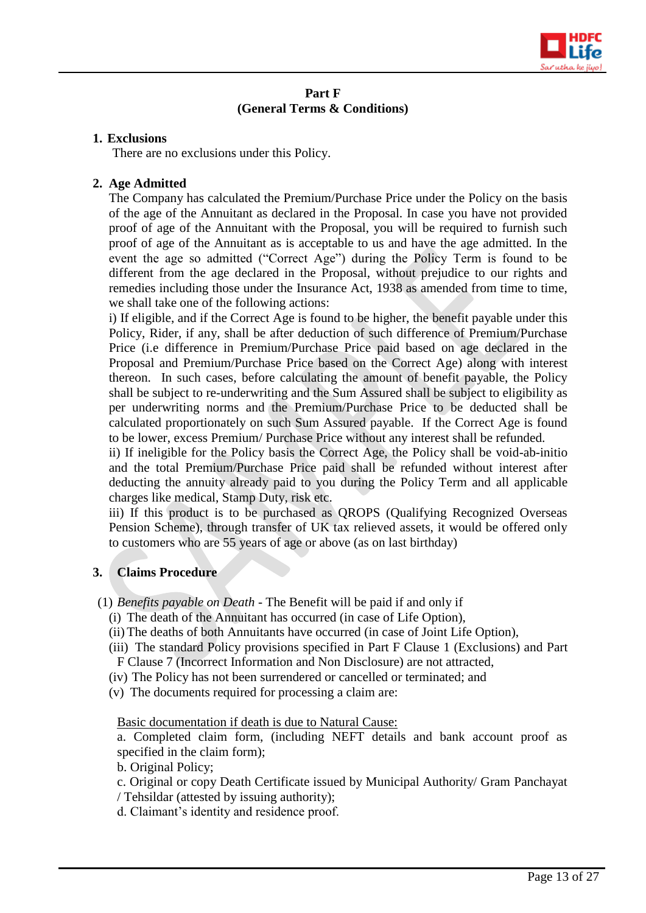

# **Part F (General Terms & Conditions)**

#### **1. Exclusions**

There are no exclusions under this Policy.

# **2. Age Admitted**

The Company has calculated the Premium/Purchase Price under the Policy on the basis of the age of the Annuitant as declared in the Proposal. In case you have not provided proof of age of the Annuitant with the Proposal, you will be required to furnish such proof of age of the Annuitant as is acceptable to us and have the age admitted. In the event the age so admitted ("Correct Age") during the Policy Term is found to be different from the age declared in the Proposal, without prejudice to our rights and remedies including those under the Insurance Act, 1938 as amended from time to time, we shall take one of the following actions:

i) If eligible, and if the Correct Age is found to be higher, the benefit payable under this Policy, Rider, if any, shall be after deduction of such difference of Premium/Purchase Price (i.e difference in Premium/Purchase Price paid based on age declared in the Proposal and Premium/Purchase Price based on the Correct Age) along with interest thereon. In such cases, before calculating the amount of benefit payable, the Policy shall be subject to re-underwriting and the Sum Assured shall be subject to eligibility as per underwriting norms and the Premium/Purchase Price to be deducted shall be calculated proportionately on such Sum Assured payable. If the Correct Age is found to be lower, excess Premium/ Purchase Price without any interest shall be refunded.

ii) If ineligible for the Policy basis the Correct Age, the Policy shall be void-ab-initio and the total Premium/Purchase Price paid shall be refunded without interest after deducting the annuity already paid to you during the Policy Term and all applicable charges like medical, Stamp Duty, risk etc.

iii) If this product is to be purchased as QROPS (Qualifying Recognized Overseas Pension Scheme), through transfer of UK tax relieved assets, it would be offered only to customers who are 55 years of age or above (as on last birthday)

# **3. Claims Procedure**

- (1) *Benefits payable on Death -* The Benefit will be paid if and only if
	- (i) The death of the Annuitant has occurred (in case of Life Option),
	- (ii) The deaths of both Annuitants have occurred (in case of Joint Life Option),
	- (iii) The standard Policy provisions specified in Part F Clause 1 (Exclusions) and Part F Clause 7 (Incorrect Information and Non Disclosure) are not attracted,
	- (iv) The Policy has not been surrendered or cancelled or terminated; and
	- (v) The documents required for processing a claim are:

Basic documentation if death is due to Natural Cause:

a. Completed claim form, (including NEFT details and bank account proof as specified in the claim form);

b. Original Policy;

- c. Original or copy Death Certificate issued by Municipal Authority/ Gram Panchayat
- / Tehsildar (attested by issuing authority);
- d. Claimant's identity and residence proof.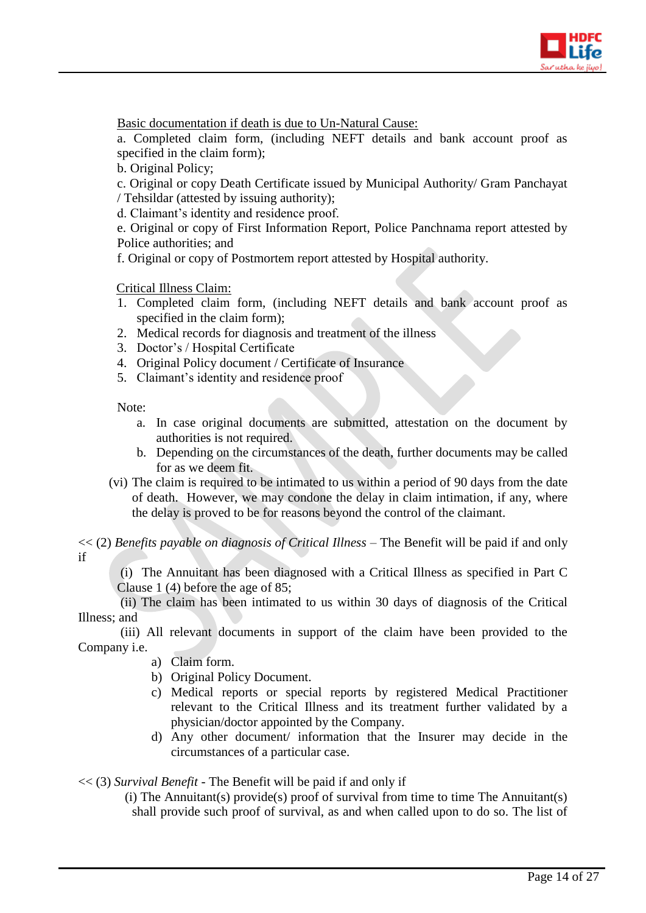

Basic documentation if death is due to Un-Natural Cause:

a. Completed claim form, (including NEFT details and bank account proof as specified in the claim form);

b. Original Policy;

c. Original or copy Death Certificate issued by Municipal Authority/ Gram Panchayat / Tehsildar (attested by issuing authority);

d. Claimant's identity and residence proof.

e. Original or copy of First Information Report, Police Panchnama report attested by Police authorities; and

f. Original or copy of Postmortem report attested by Hospital authority.

Critical Illness Claim:

- 1. Completed claim form, (including NEFT details and bank account proof as specified in the claim form);
- 2. Medical records for diagnosis and treatment of the illness
- 3. Doctor's / Hospital Certificate
- 4. Original Policy document / Certificate of Insurance
- 5. Claimant's identity and residence proof

Note:

- a. In case original documents are submitted, attestation on the document by authorities is not required.
- b. Depending on the circumstances of the death, further documents may be called for as we deem fit.
- (vi) The claim is required to be intimated to us within a period of 90 days from the date of death. However, we may condone the delay in claim intimation, if any, where the delay is proved to be for reasons beyond the control of the claimant.

<< (2) *Benefits payable on diagnosis of Critical Illness –* The Benefit will be paid if and only if

(i) The Annuitant has been diagnosed with a Critical Illness as specified in Part C Clause 1 (4) before the age of 85;

 (ii) The claim has been intimated to us within 30 days of diagnosis of the Critical Illness; and

 (iii) All relevant documents in support of the claim have been provided to the Company i.e.

- a) Claim form.
- b) Original Policy Document.
- c) Medical reports or special reports by registered Medical Practitioner relevant to the Critical Illness and its treatment further validated by a physician/doctor appointed by the Company.
- d) Any other document/ information that the Insurer may decide in the circumstances of a particular case.

<< (3) *Survival Benefit -* The Benefit will be paid if and only if

(i) The Annuitant(s) provide(s) proof of survival from time to time The Annuitant(s) shall provide such proof of survival, as and when called upon to do so. The list of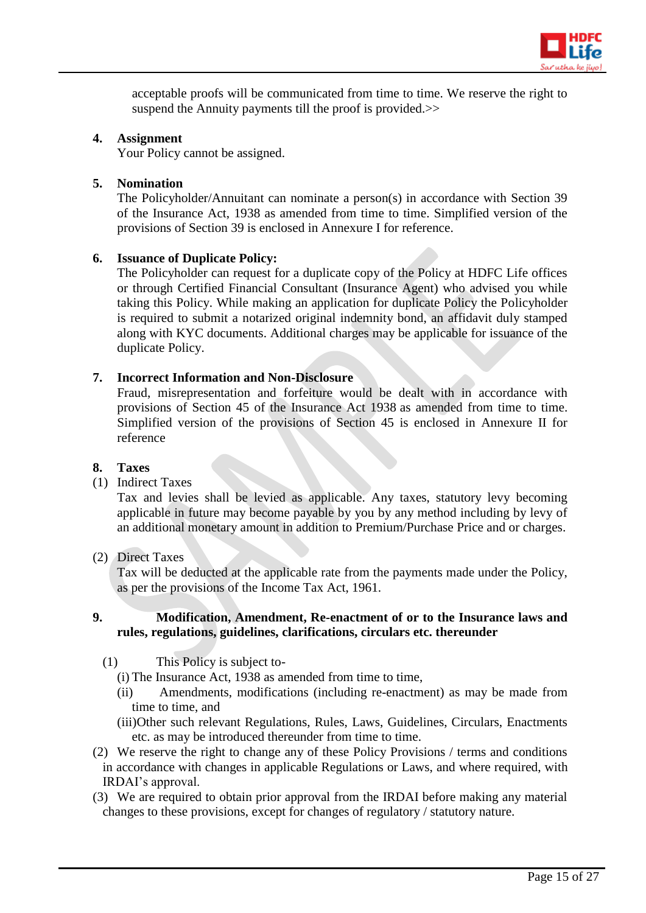

acceptable proofs will be communicated from time to time. We reserve the right to suspend the Annuity payments till the proof is provided.>>

# **4. Assignment**

Your Policy cannot be assigned.

#### **5. Nomination**

The Policyholder/Annuitant can nominate a person(s) in accordance with Section 39 of the Insurance Act, 1938 as amended from time to time. Simplified version of the provisions of Section 39 is enclosed in Annexure I for reference.

#### **6. Issuance of Duplicate Policy:**

The Policyholder can request for a duplicate copy of the Policy at HDFC Life offices or through Certified Financial Consultant (Insurance Agent) who advised you while taking this Policy. While making an application for duplicate Policy the Policyholder is required to submit a notarized original indemnity bond, an affidavit duly stamped along with KYC documents. Additional charges may be applicable for issuance of the duplicate Policy.

# **7. Incorrect Information and Non-Disclosure**

Fraud, misrepresentation and forfeiture would be dealt with in accordance with provisions of Section 45 of the Insurance Act 1938 as amended from time to time. Simplified version of the provisions of Section 45 is enclosed in Annexure II for reference

#### **8. Taxes**

#### (1) Indirect Taxes

Tax and levies shall be levied as applicable. Any taxes, statutory levy becoming applicable in future may become payable by you by any method including by levy of an additional monetary amount in addition to Premium/Purchase Price and or charges.

# (2) Direct Taxes

Tax will be deducted at the applicable rate from the payments made under the Policy, as per the provisions of the Income Tax Act, 1961.

#### **9. Modification, Amendment, Re-enactment of or to the Insurance laws and rules, regulations, guidelines, clarifications, circulars etc. thereunder**

- (1) This Policy is subject to-
	- (i) The Insurance Act, 1938 as amended from time to time,
	- (ii) Amendments, modifications (including re-enactment) as may be made from time to time, and
	- (iii)Other such relevant Regulations, Rules, Laws, Guidelines, Circulars, Enactments etc. as may be introduced thereunder from time to time.
- (2) We reserve the right to change any of these Policy Provisions / terms and conditions in accordance with changes in applicable Regulations or Laws, and where required, with IRDAI's approval.
- (3) We are required to obtain prior approval from the IRDAI before making any material changes to these provisions, except for changes of regulatory / statutory nature.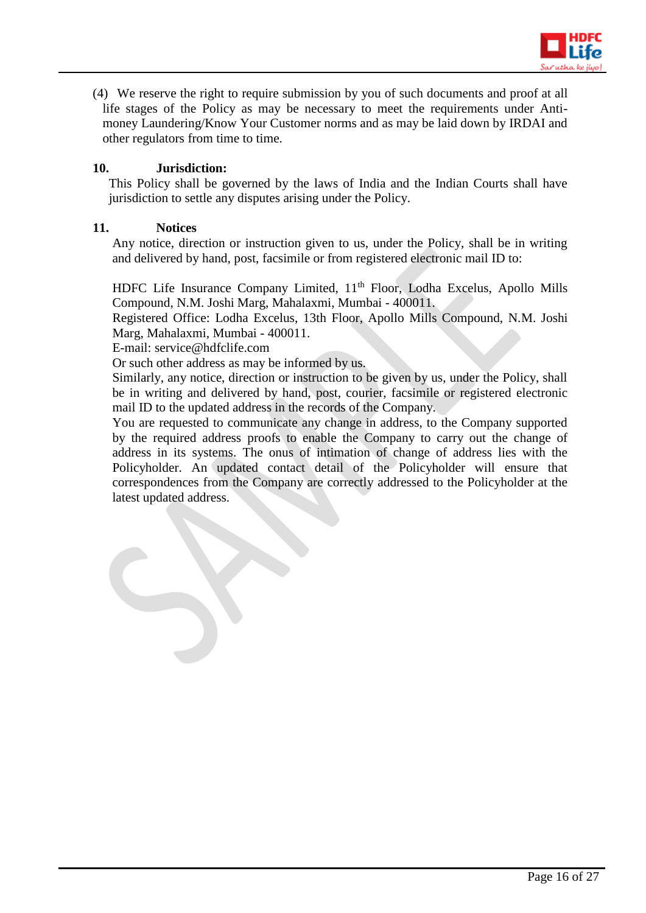

(4) We reserve the right to require submission by you of such documents and proof at all life stages of the Policy as may be necessary to meet the requirements under Antimoney Laundering/Know Your Customer norms and as may be laid down by IRDAI and other regulators from time to time.

# **10. Jurisdiction:**

This Policy shall be governed by the laws of India and the Indian Courts shall have jurisdiction to settle any disputes arising under the Policy.

#### **11. Notices**

Any notice, direction or instruction given to us, under the Policy, shall be in writing and delivered by hand, post, facsimile or from registered electronic mail ID to:

HDFC Life Insurance Company Limited, 11<sup>th</sup> Floor, Lodha Excelus, Apollo Mills Compound, N.M. Joshi Marg, Mahalaxmi, Mumbai - 400011.

Registered Office: Lodha Excelus, 13th Floor, Apollo Mills Compound, N.M. Joshi Marg, Mahalaxmi, Mumbai - 400011.

E-mail: service@hdfclife.com

Or such other address as may be informed by us.

Similarly, any notice, direction or instruction to be given by us, under the Policy, shall be in writing and delivered by hand, post, courier, facsimile or registered electronic mail ID to the updated address in the records of the Company.

You are requested to communicate any change in address, to the Company supported by the required address proofs to enable the Company to carry out the change of address in its systems. The onus of intimation of change of address lies with the Policyholder. An updated contact detail of the Policyholder will ensure that correspondences from the Company are correctly addressed to the Policyholder at the latest updated address.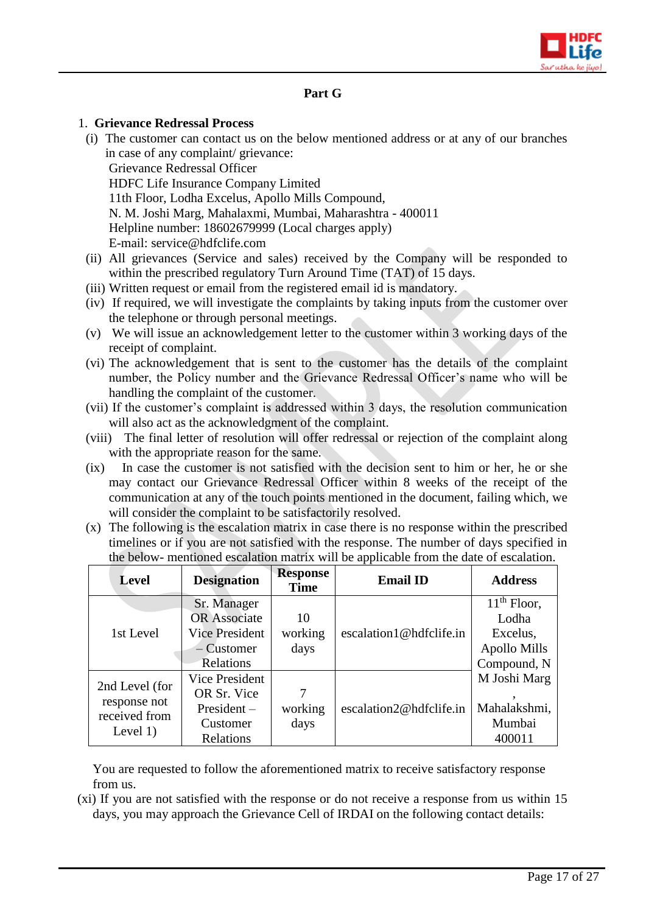

# **Part G**

#### 1. **Grievance Redressal Process**

- (i) The customer can contact us on the below mentioned address or at any of our branches in case of any complaint/ grievance: Grievance Redressal Officer HDFC Life Insurance Company Limited 11th Floor, Lodha Excelus, Apollo Mills Compound, N. M. Joshi Marg, Mahalaxmi, Mumbai, Maharashtra - 400011 Helpline number: 18602679999 (Local charges apply) E-mail: [service@hdfclife.com](mailto:service@hdfclife.com)
- (ii) All grievances (Service and sales) received by the Company will be responded to within the prescribed regulatory Turn Around Time (TAT) of 15 days.
- (iii) Written request or email from the registered email id is mandatory.
- (iv) If required, we will investigate the complaints by taking inputs from the customer over the telephone or through personal meetings.
- (v) We will issue an acknowledgement letter to the customer within 3 working days of the receipt of complaint.
- (vi) The acknowledgement that is sent to the customer has the details of the complaint number, the Policy number and the Grievance Redressal Officer's name who will be handling the complaint of the customer.
- (vii) If the customer's complaint is addressed within 3 days, the resolution communication will also act as the acknowledgment of the complaint.
- (viii) The final letter of resolution will offer redressal or rejection of the complaint along with the appropriate reason for the same.
- (ix) In case the customer is not satisfied with the decision sent to him or her, he or she may contact our Grievance Redressal Officer within 8 weeks of the receipt of the communication at any of the touch points mentioned in the document, failing which, we will consider the complaint to be satisfactorily resolved.
- (x) The following is the escalation matrix in case there is no response within the prescribed timelines or if you are not satisfied with the response. The number of days specified in the below- mentioned escalation matrix will be applicable from the date of escalation.

| <b>Level</b>                                                  | <b>Designation</b>    | <b>Response</b><br><b>Time</b> | <b>Email ID</b>         | <b>Address</b> |
|---------------------------------------------------------------|-----------------------|--------------------------------|-------------------------|----------------|
|                                                               | Sr. Manager           |                                |                         | $11th$ Floor,  |
|                                                               | <b>OR</b> Associate   | 10                             |                         | Lodha          |
| 1st Level                                                     | <b>Vice President</b> | working                        | escalation1@hdfclife.in | Excelus,       |
|                                                               | $-Customer$           | days                           |                         | Apollo Mills   |
|                                                               | Relations             |                                |                         | Compound, N    |
|                                                               | Vice President        |                                |                         | M Joshi Marg   |
| 2nd Level (for<br>response not<br>received from<br>Level $1)$ | OR Sr. Vice           | 7                              |                         |                |
|                                                               | $President -$         | working                        | escalation2@hdfclife.in | Mahalakshmi,   |
|                                                               | Customer              | days                           |                         | Mumbai         |
|                                                               | Relations             |                                |                         | 400011         |

You are requested to follow the aforementioned matrix to receive satisfactory response from us.

(xi) If you are not satisfied with the response or do not receive a response from us within 15 days, you may approach the Grievance Cell of IRDAI on the following contact details: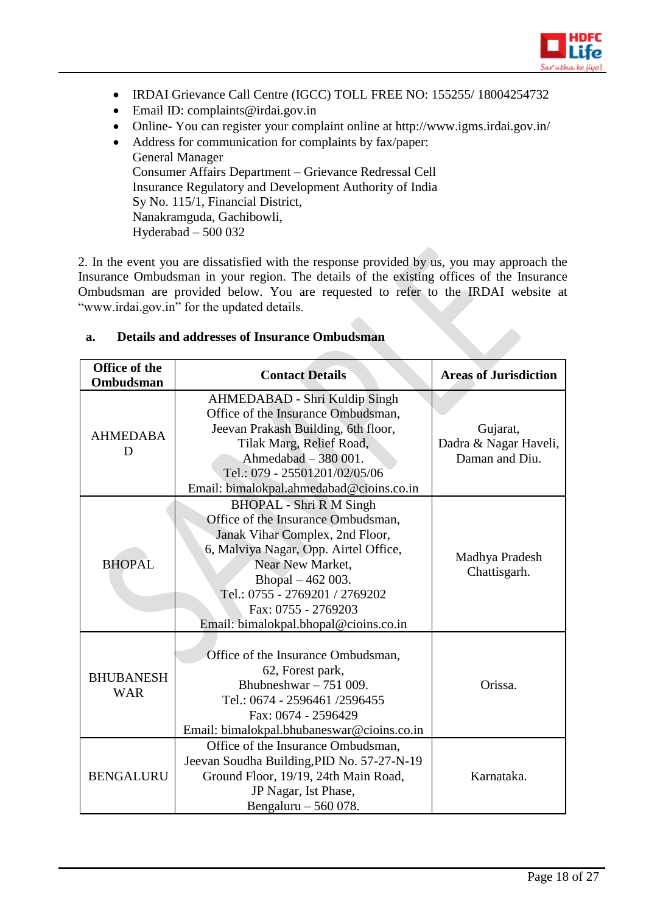

- IRDAI Grievance Call Centre (IGCC) TOLL FREE NO: 155255/ 18004254732
- Email ID: complaints@irdai.gov.in
- Online- You can register your complaint online at http://www.igms.irdai.gov.in/
- Address for communication for complaints by fax/paper: General Manager Consumer Affairs Department – Grievance Redressal Cell Insurance Regulatory and Development Authority of India Sy No. 115/1, Financial District, Nanakramguda, Gachibowli, Hyderabad – 500 032

2. In the event you are dissatisfied with the response provided by us, you may approach the Insurance Ombudsman in your region. The details of the existing offices of the Insurance Ombudsman are provided below. You are requested to refer to the IRDAI website at "www.irdai.gov.in" for the updated details.

| <b>Office of the</b><br>Ombudsman | <b>Contact Details</b>                                                                                                                                                                                                                                                                      | <b>Areas of Jurisdiction</b>                        |
|-----------------------------------|---------------------------------------------------------------------------------------------------------------------------------------------------------------------------------------------------------------------------------------------------------------------------------------------|-----------------------------------------------------|
| <b>AHMEDABA</b><br>D              | AHMEDABAD - Shri Kuldip Singh<br>Office of the Insurance Ombudsman,<br>Jeevan Prakash Building, 6th floor,<br>Tilak Marg, Relief Road,<br>Ahmedabad - 380 001.<br>Tel.: 079 - 25501201/02/05/06<br>Email: bimalokpal.ahmedabad@cioins.co.in                                                 | Gujarat,<br>Dadra & Nagar Haveli,<br>Daman and Diu. |
| <b>BHOPAL</b>                     | <b>BHOPAL</b> - Shri R M Singh<br>Office of the Insurance Ombudsman,<br>Janak Vihar Complex, 2nd Floor,<br>6, Malviya Nagar, Opp. Airtel Office,<br>Near New Market.<br>Bhopal - 462 003.<br>Tel.: 0755 - 2769201 / 2769202<br>Fax: 0755 - 2769203<br>Email: bimalokpal.bhopal@cioins.co.in | Madhya Pradesh<br>Chattisgarh.                      |
| <b>BHUBANESH</b><br><b>WAR</b>    | Office of the Insurance Ombudsman,<br>62, Forest park,<br>Bhubneshwar $-751009$ .<br>Tel.: 0674 - 2596461 /2596455<br>Fax: 0674 - 2596429<br>Email: bimalokpal.bhubaneswar@cioins.co.in                                                                                                     | Orissa.                                             |
| <b>BENGALURU</b>                  | Office of the Insurance Ombudsman,<br>Jeevan Soudha Building, PID No. 57-27-N-19<br>Ground Floor, 19/19, 24th Main Road,<br>JP Nagar, Ist Phase,<br>Bengaluru - 560 078.                                                                                                                    | Karnataka.                                          |

#### **a. Details and addresses of Insurance Ombudsman**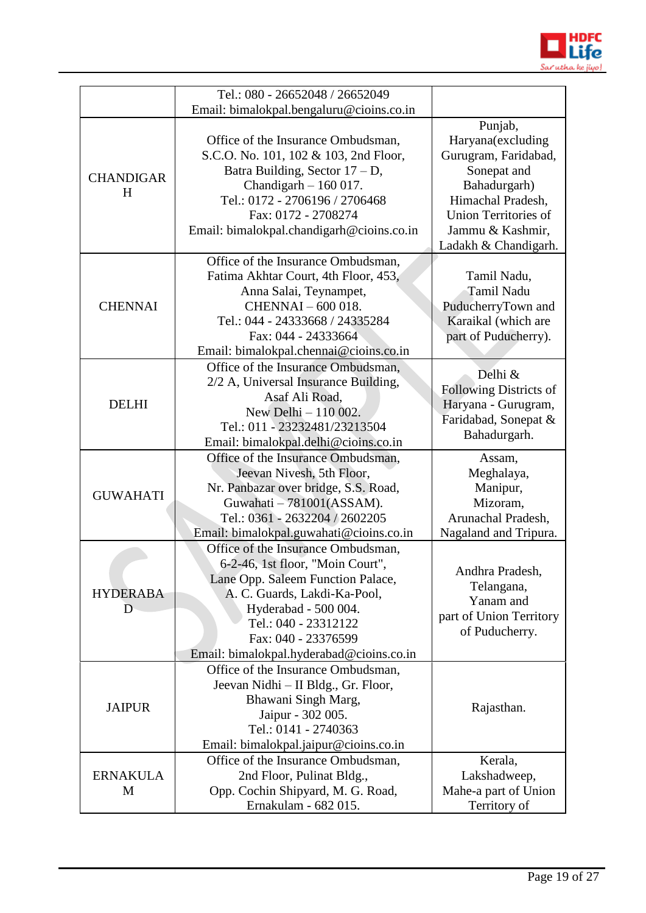

|                                         | Tel.: 080 - 26652048 / 26652049                                                                                                                                                                                                                                                                                                                                                                                                                                                      |                                                                                                                                                                                                                                                                                              |
|-----------------------------------------|--------------------------------------------------------------------------------------------------------------------------------------------------------------------------------------------------------------------------------------------------------------------------------------------------------------------------------------------------------------------------------------------------------------------------------------------------------------------------------------|----------------------------------------------------------------------------------------------------------------------------------------------------------------------------------------------------------------------------------------------------------------------------------------------|
|                                         |                                                                                                                                                                                                                                                                                                                                                                                                                                                                                      |                                                                                                                                                                                                                                                                                              |
| <b>CHANDIGAR</b><br>H<br><b>CHENNAI</b> | Email: bimalokpal.bengaluru@cioins.co.in<br>Office of the Insurance Ombudsman,<br>S.C.O. No. 101, 102 & 103, 2nd Floor,<br>Batra Building, Sector $17 - D$ ,<br>Chandigarh $-160017$ .<br>Tel.: 0172 - 2706196 / 2706468<br>Fax: 0172 - 2708274<br>Email: bimalokpal.chandigarh@cioins.co.in<br>Office of the Insurance Ombudsman,<br>Fatima Akhtar Court, 4th Floor, 453,<br>Anna Salai, Teynampet,<br>CHENNAI - 600 018.<br>Tel.: 044 - 24333668 / 24335284<br>Fax: 044 - 24333664 | Punjab,<br>Haryana(excluding<br>Gurugram, Faridabad,<br>Sonepat and<br>Bahadurgarh)<br>Himachal Pradesh,<br><b>Union Territories of</b><br>Jammu & Kashmir,<br>Ladakh & Chandigarh.<br>Tamil Nadu,<br><b>Tamil Nadu</b><br>PuducherryTown and<br>Karaikal (which are<br>part of Puducherry). |
|                                         | Email: bimalokpal.chennai@cioins.co.in                                                                                                                                                                                                                                                                                                                                                                                                                                               |                                                                                                                                                                                                                                                                                              |
| <b>DELHI</b>                            | Office of the Insurance Ombudsman,<br>2/2 A, Universal Insurance Building,<br>Asaf Ali Road.<br>New Delhi - 110 002.<br>Tel.: 011 - 23232481/23213504<br>Email: bimalokpal.delhi@cioins.co.in                                                                                                                                                                                                                                                                                        | Delhi &<br><b>Following Districts of</b><br>Haryana - Gurugram,<br>Faridabad, Sonepat &<br>Bahadurgarh.                                                                                                                                                                                      |
|                                         |                                                                                                                                                                                                                                                                                                                                                                                                                                                                                      |                                                                                                                                                                                                                                                                                              |
| <b>GUWAHATI</b>                         | Office of the Insurance Ombudsman,<br>Jeevan Nivesh, 5th Floor,<br>Nr. Panbazar over bridge, S.S. Road,<br>Guwahati - 781001(ASSAM).<br>Tel.: 0361 - 2632204 / 2602205<br>Email: bimalokpal.guwahati@cioins.co.in                                                                                                                                                                                                                                                                    | Assam,<br>Meghalaya,<br>Manipur,<br>Mizoram,<br>Arunachal Pradesh,<br>Nagaland and Tripura.                                                                                                                                                                                                  |
| <b>HYDERABA</b><br>D                    | Office of the Insurance Ombudsman,<br>6-2-46, 1st floor, "Moin Court",<br>Lane Opp. Saleem Function Palace,<br>A. C. Guards, Lakdi-Ka-Pool,<br>Hyderabad - 500 004.<br>Tel.: 040 - 23312122<br>Fax: 040 - 23376599                                                                                                                                                                                                                                                                   | Andhra Pradesh,<br>Telangana,<br>Yanam and<br>part of Union Territory<br>of Puducherry.                                                                                                                                                                                                      |
| <b>JAIPUR</b>                           | Email: bimalokpal.hyderabad@cioins.co.in<br>Office of the Insurance Ombudsman,<br>Jeevan Nidhi – II Bldg., Gr. Floor,<br>Bhawani Singh Marg,<br>Jaipur - 302 005.<br>Tel.: 0141 - 2740363<br>Email: bimalokpal.jaipur@cioins.co.in                                                                                                                                                                                                                                                   | Rajasthan.                                                                                                                                                                                                                                                                                   |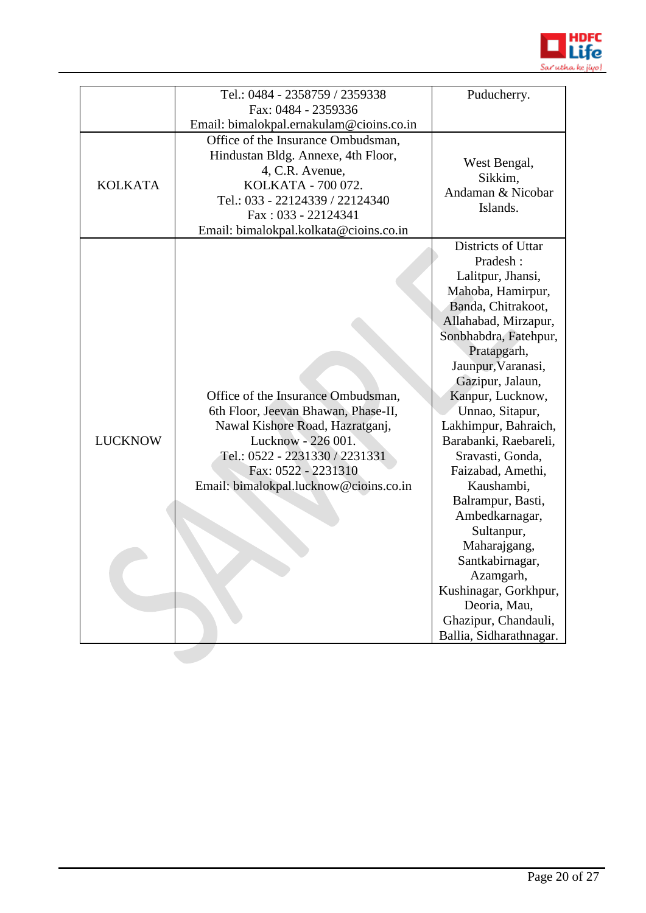

|                | Tel.: 0484 - 2358759 / 2359338           | Puducherry.             |
|----------------|------------------------------------------|-------------------------|
|                | Fax: 0484 - 2359336                      |                         |
|                | Email: bimalokpal.ernakulam@cioins.co.in |                         |
|                | Office of the Insurance Ombudsman,       |                         |
|                | Hindustan Bldg. Annexe, 4th Floor,       | West Bengal,            |
|                | 4, C.R. Avenue,                          | Sikkim,                 |
| <b>KOLKATA</b> | KOLKATA - 700 072.                       | Andaman & Nicobar       |
|                | Tel.: 033 - 22124339 / 22124340          | Islands.                |
|                | Fax: 033 - 22124341                      |                         |
|                | Email: bimalokpal.kolkata@cioins.co.in   |                         |
|                |                                          | Districts of Uttar      |
|                |                                          | Pradesh:                |
|                |                                          | Lalitpur, Jhansi,       |
|                |                                          | Mahoba, Hamirpur,       |
|                |                                          | Banda, Chitrakoot,      |
|                |                                          | Allahabad, Mirzapur,    |
|                |                                          | Sonbhabdra, Fatehpur,   |
|                |                                          | Pratapgarh,             |
|                |                                          | Jaunpur, Varanasi,      |
|                |                                          | Gazipur, Jalaun,        |
|                | Office of the Insurance Ombudsman,       | Kanpur, Lucknow,        |
|                | 6th Floor, Jeevan Bhawan, Phase-II,      | Unnao, Sitapur,         |
|                | Nawal Kishore Road, Hazratganj,          | Lakhimpur, Bahraich,    |
| <b>LUCKNOW</b> | Lucknow - 226 001.                       | Barabanki, Raebareli,   |
|                | Tel.: 0522 - 2231330 / 2231331           | Sravasti, Gonda,        |
|                | Fax: 0522 - 2231310                      | Faizabad, Amethi,       |
|                | Email: bimalokpal.lucknow@cioins.co.in   | Kaushambi,              |
|                |                                          | Balrampur, Basti,       |
|                |                                          | Ambedkarnagar,          |
|                |                                          | Sultanpur,              |
|                |                                          | Maharajgang,            |
|                |                                          | Santkabirnagar,         |
|                |                                          | Azamgarh,               |
|                |                                          | Kushinagar, Gorkhpur,   |
|                |                                          | Deoria, Mau,            |
|                |                                          | Ghazipur, Chandauli,    |
|                |                                          | Ballia, Sidharathnagar. |
|                |                                          |                         |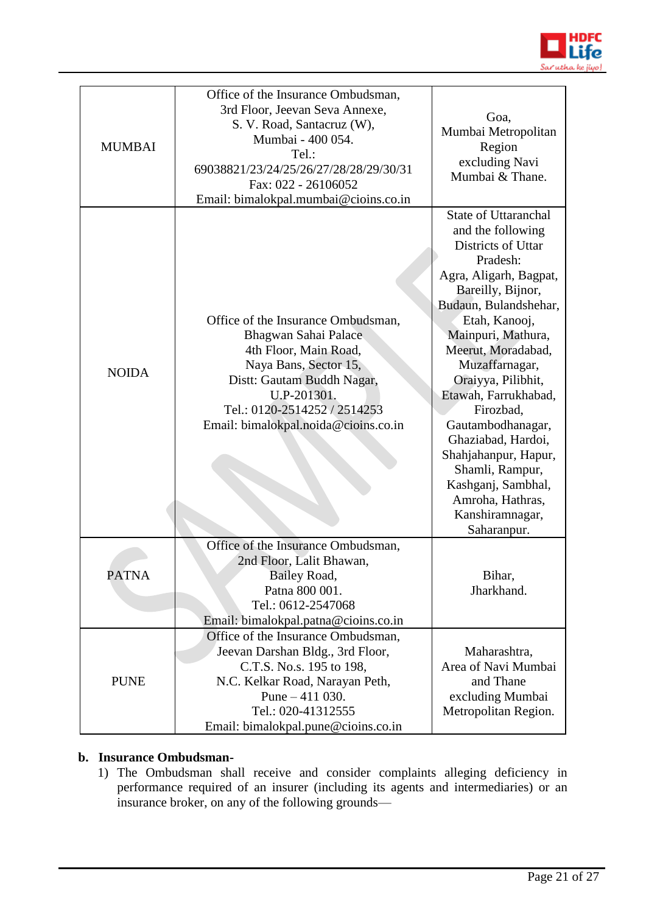

| <b>MUMBAI</b> | Office of the Insurance Ombudsman,<br>3rd Floor, Jeevan Seva Annexe,<br>S. V. Road, Santacruz (W),<br>Mumbai - 400 054.<br>Tel.:<br>69038821/23/24/25/26/27/28/28/29/30/31<br>Fax: 022 - 26106052<br>Email: bimalokpal.mumbai@cioins.co.in | Goa,<br>Mumbai Metropolitan<br>Region<br>excluding Navi<br>Mumbai & Thane.                                                                                                                                                                                                                                                                                                                                                                                             |
|---------------|--------------------------------------------------------------------------------------------------------------------------------------------------------------------------------------------------------------------------------------------|------------------------------------------------------------------------------------------------------------------------------------------------------------------------------------------------------------------------------------------------------------------------------------------------------------------------------------------------------------------------------------------------------------------------------------------------------------------------|
| <b>NOIDA</b>  | Office of the Insurance Ombudsman,<br>Bhagwan Sahai Palace<br>4th Floor, Main Road,<br>Naya Bans, Sector 15,<br>Distt: Gautam Buddh Nagar,<br>U.P-201301.<br>Tel.: 0120-2514252 / 2514253<br>Email: bimalokpal.noida@cioins.co.in          | <b>State of Uttaranchal</b><br>and the following<br>Districts of Uttar<br>Pradesh:<br>Agra, Aligarh, Bagpat,<br>Bareilly, Bijnor,<br>Budaun, Bulandshehar,<br>Etah, Kanooj,<br>Mainpuri, Mathura,<br>Meerut, Moradabad,<br>Muzaffarnagar,<br>Oraiyya, Pilibhit,<br>Etawah, Farrukhabad,<br>Firozbad,<br>Gautambodhanagar,<br>Ghaziabad, Hardoi,<br>Shahjahanpur, Hapur,<br>Shamli, Rampur,<br>Kashganj, Sambhal,<br>Amroha, Hathras,<br>Kanshiramnagar,<br>Saharanpur. |
| <b>PATNA</b>  | Office of the Insurance Ombudsman,<br>2nd Floor, Lalit Bhawan,<br>Bailey Road,<br>Patna 800 001.<br>Tel.: 0612-2547068<br>Email: bimalokpal.patna@cioins.co.in                                                                             | Bihar,<br>Jharkhand.                                                                                                                                                                                                                                                                                                                                                                                                                                                   |
| <b>PUNE</b>   | Office of the Insurance Ombudsman,<br>Jeevan Darshan Bldg., 3rd Floor,<br>C.T.S. No.s. 195 to 198,<br>N.C. Kelkar Road, Narayan Peth,<br>Pune $-411$ 030.<br>Tel.: 020-41312555<br>Email: bimalokpal.pune@cioins.co.in                     | Maharashtra,<br>Area of Navi Mumbai<br>and Thane<br>excluding Mumbai<br>Metropolitan Region.                                                                                                                                                                                                                                                                                                                                                                           |

# **b. Insurance Ombudsman-**

1) The Ombudsman shall receive and consider complaints alleging deficiency in performance required of an insurer (including its agents and intermediaries) or an insurance broker, on any of the following grounds—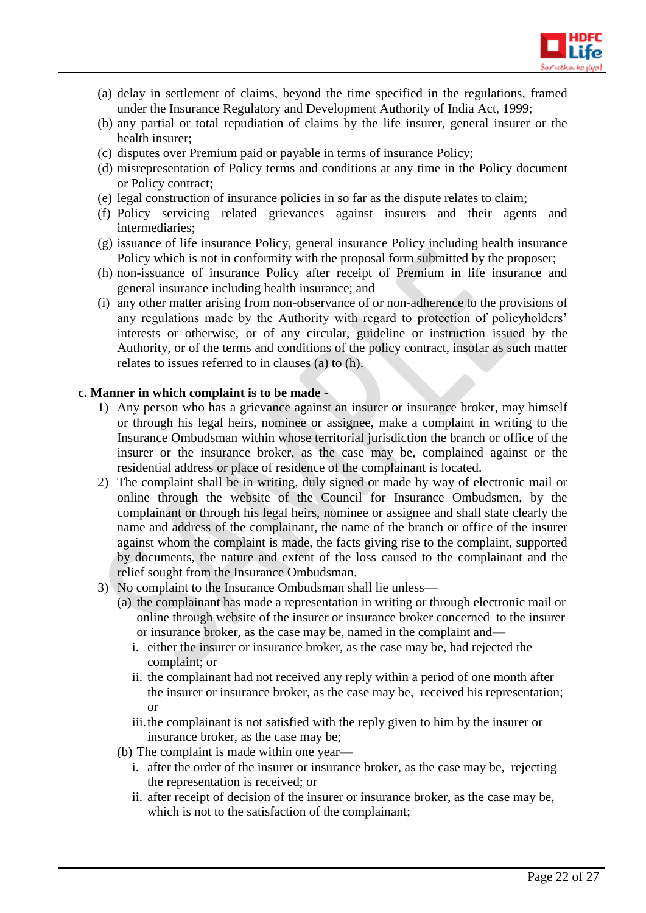

- (a) delay in settlement of claims, beyond the time specified in the regulations, framed under the Insurance Regulatory and Development Authority of India Act, 1999;
- (b) any partial or total repudiation of claims by the life insurer, general insurer or the health insurer;
- (c) disputes over Premium paid or payable in terms of insurance Policy;
- (d) misrepresentation of Policy terms and conditions at any time in the Policy document or Policy contract;
- (e) legal construction of insurance policies in so far as the dispute relates to claim;
- (f) Policy servicing related grievances against insurers and their agents and intermediaries;
- (g) issuance of life insurance Policy, general insurance Policy including health insurance Policy which is not in conformity with the proposal form submitted by the proposer;
- (h) non-issuance of insurance Policy after receipt of Premium in life insurance and general insurance including health insurance; and
- (i) any other matter arising from non-observance of or non-adherence to the provisions of any regulations made by the Authority with regard to protection of policyholders' interests or otherwise, or of any circular, guideline or instruction issued by the Authority, or of the terms and conditions of the policy contract, insofar as such matter relates to issues referred to in clauses (a) to (h).

### **c. Manner in which complaint is to be made -**

- 1) Any person who has a grievance against an insurer or insurance broker, may himself or through his legal heirs, nominee or assignee, make a complaint in writing to the Insurance Ombudsman within whose territorial jurisdiction the branch or office of the insurer or the insurance broker, as the case may be, complained against or the residential address or place of residence of the complainant is located.
- 2) The complaint shall be in writing, duly signed or made by way of electronic mail or online through the website of the Council for Insurance Ombudsmen, by the complainant or through his legal heirs, nominee or assignee and shall state clearly the name and address of the complainant, the name of the branch or office of the insurer against whom the complaint is made, the facts giving rise to the complaint, supported by documents, the nature and extent of the loss caused to the complainant and the relief sought from the Insurance Ombudsman.
- 3) No complaint to the Insurance Ombudsman shall lie unless—
	- (a) the complainant has made a representation in writing or through electronic mail or online through website of the insurer or insurance broker concerned to the insurer or insurance broker, as the case may be, named in the complaint and
		- i. either the insurer or insurance broker, as the case may be, had rejected the complaint; or
		- ii. the complainant had not received any reply within a period of one month after the insurer or insurance broker, as the case may be, received his representation; or
		- iii.the complainant is not satisfied with the reply given to him by the insurer or insurance broker, as the case may be;
	- (b) The complaint is made within one year
		- i. after the order of the insurer or insurance broker, as the case may be, rejecting the representation is received; or
		- ii. after receipt of decision of the insurer or insurance broker, as the case may be, which is not to the satisfaction of the complainant;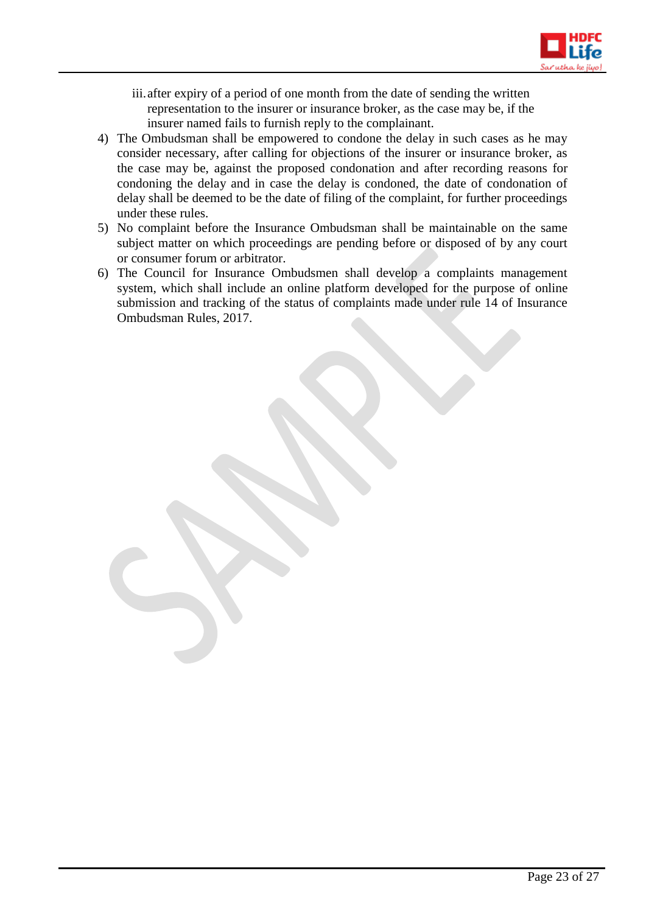

- iii.after expiry of a period of one month from the date of sending the written representation to the insurer or insurance broker, as the case may be, if the insurer named fails to furnish reply to the complainant.
- 4) The Ombudsman shall be empowered to condone the delay in such cases as he may consider necessary, after calling for objections of the insurer or insurance broker, as the case may be, against the proposed condonation and after recording reasons for condoning the delay and in case the delay is condoned, the date of condonation of delay shall be deemed to be the date of filing of the complaint, for further proceedings under these rules.
- 5) No complaint before the Insurance Ombudsman shall be maintainable on the same subject matter on which proceedings are pending before or disposed of by any court or consumer forum or arbitrator.
- 6) The Council for Insurance Ombudsmen shall develop a complaints management system, which shall include an online platform developed for the purpose of online submission and tracking of the status of complaints made under rule 14 of Insurance Ombudsman Rules, 2017.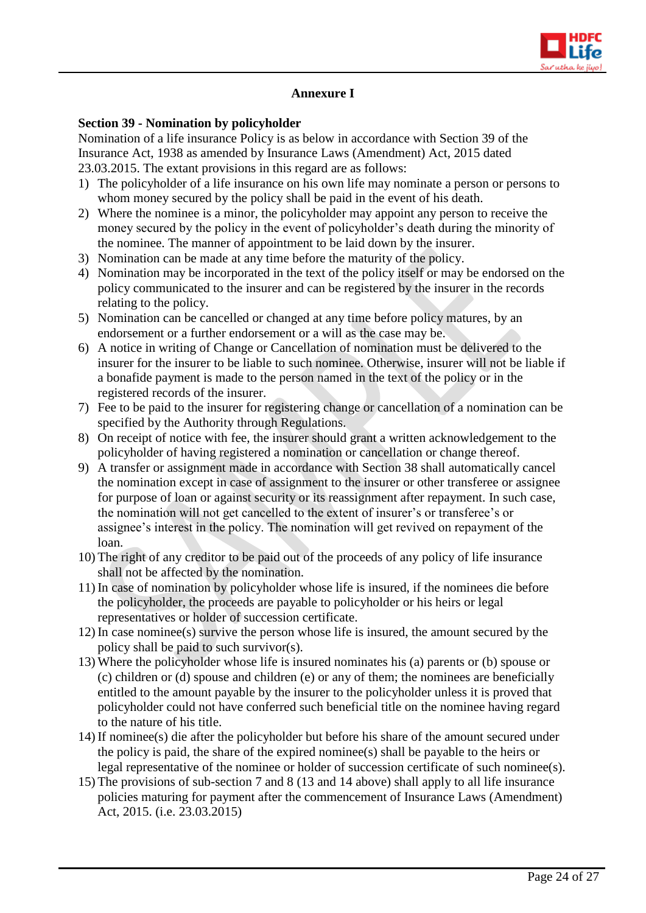

# **Annexure I**

#### **Section 39 - Nomination by policyholder**

Nomination of a life insurance Policy is as below in accordance with Section 39 of the Insurance Act, 1938 as amended by Insurance Laws (Amendment) Act, 2015 dated 23.03.2015. The extant provisions in this regard are as follows:

- 1) The policyholder of a life insurance on his own life may nominate a person or persons to whom money secured by the policy shall be paid in the event of his death.
- 2) Where the nominee is a minor, the policyholder may appoint any person to receive the money secured by the policy in the event of policyholder's death during the minority of the nominee. The manner of appointment to be laid down by the insurer.
- 3) Nomination can be made at any time before the maturity of the policy.
- 4) Nomination may be incorporated in the text of the policy itself or may be endorsed on the policy communicated to the insurer and can be registered by the insurer in the records relating to the policy.
- 5) Nomination can be cancelled or changed at any time before policy matures, by an endorsement or a further endorsement or a will as the case may be.
- 6) A notice in writing of Change or Cancellation of nomination must be delivered to the insurer for the insurer to be liable to such nominee. Otherwise, insurer will not be liable if a bonafide payment is made to the person named in the text of the policy or in the registered records of the insurer.
- 7) Fee to be paid to the insurer for registering change or cancellation of a nomination can be specified by the Authority through Regulations.
- 8) On receipt of notice with fee, the insurer should grant a written acknowledgement to the policyholder of having registered a nomination or cancellation or change thereof.
- 9) A transfer or assignment made in accordance with Section 38 shall automatically cancel the nomination except in case of assignment to the insurer or other transferee or assignee for purpose of loan or against security or its reassignment after repayment. In such case, the nomination will not get cancelled to the extent of insurer's or transferee's or assignee's interest in the policy. The nomination will get revived on repayment of the loan.
- 10) The right of any creditor to be paid out of the proceeds of any policy of life insurance shall not be affected by the nomination.
- 11) In case of nomination by policyholder whose life is insured, if the nominees die before the policyholder, the proceeds are payable to policyholder or his heirs or legal representatives or holder of succession certificate.
- 12) In case nominee(s) survive the person whose life is insured, the amount secured by the policy shall be paid to such survivor(s).
- 13) Where the policyholder whose life is insured nominates his (a) parents or (b) spouse or (c) children or (d) spouse and children (e) or any of them; the nominees are beneficially entitled to the amount payable by the insurer to the policyholder unless it is proved that policyholder could not have conferred such beneficial title on the nominee having regard to the nature of his title.
- 14) If nominee(s) die after the policyholder but before his share of the amount secured under the policy is paid, the share of the expired nominee(s) shall be payable to the heirs or legal representative of the nominee or holder of succession certificate of such nominee(s).
- 15) The provisions of sub-section 7 and 8 (13 and 14 above) shall apply to all life insurance policies maturing for payment after the commencement of Insurance Laws (Amendment) Act, 2015. (i.e. 23.03.2015)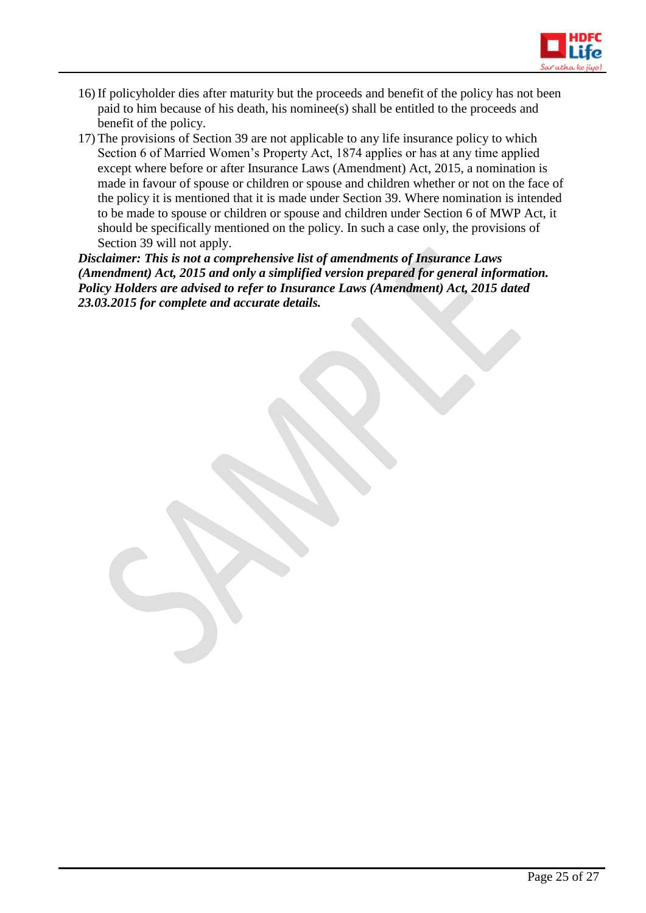

- 16) If policyholder dies after maturity but the proceeds and benefit of the policy has not been paid to him because of his death, his nominee(s) shall be entitled to the proceeds and benefit of the policy.
- 17) The provisions of Section 39 are not applicable to any life insurance policy to which Section 6 of Married Women's Property Act, 1874 applies or has at any time applied except where before or after Insurance Laws (Amendment) Act, 2015, a nomination is made in favour of spouse or children or spouse and children whether or not on the face of the policy it is mentioned that it is made under Section 39. Where nomination is intended to be made to spouse or children or spouse and children under Section 6 of MWP Act, it should be specifically mentioned on the policy. In such a case only, the provisions of Section 39 will not apply.

*Disclaimer: This is not a comprehensive list of amendments of Insurance Laws (Amendment) Act, 2015 and only a simplified version prepared for general information. Policy Holders are advised to refer to Insurance Laws (Amendment) Act, 2015 dated 23.03.2015 for complete and accurate details.*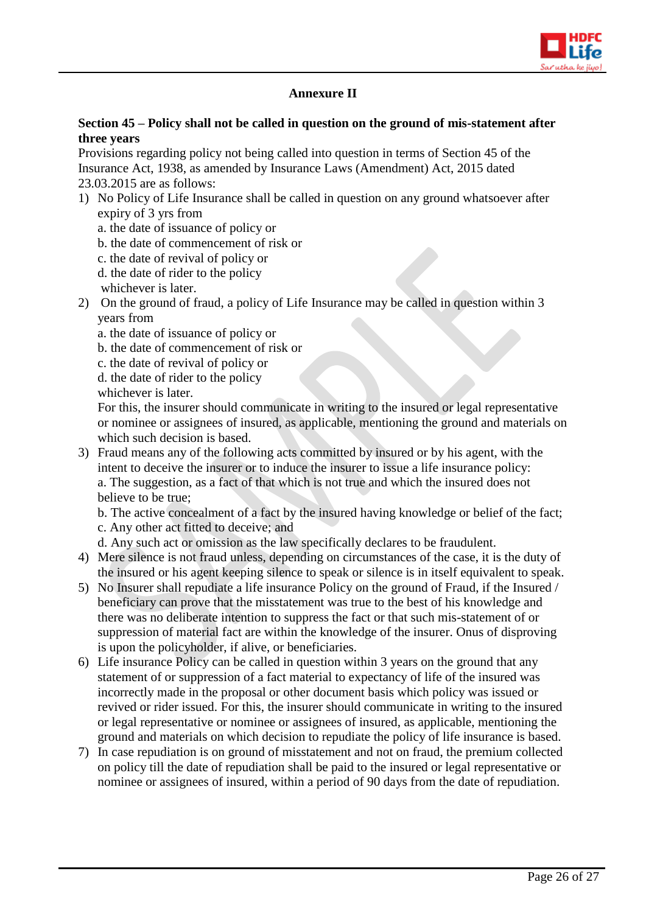

# **Annexure II**

# **Section 45 – Policy shall not be called in question on the ground of mis-statement after three years**

Provisions regarding policy not being called into question in terms of Section 45 of the Insurance Act, 1938, as amended by Insurance Laws (Amendment) Act, 2015 dated 23.03.2015 are as follows:

- 1) No Policy of Life Insurance shall be called in question on any ground whatsoever after expiry of 3 yrs from
	- a. the date of issuance of policy or
	- b. the date of commencement of risk or
	- c. the date of revival of policy or
	- d. the date of rider to the policy
	- whichever is later.
- 2) On the ground of fraud, a policy of Life Insurance may be called in question within 3 years from
	- a. the date of issuance of policy or
	- b. the date of commencement of risk or
	- c. the date of revival of policy or
	- d. the date of rider to the policy
	- whichever is later.

For this, the insurer should communicate in writing to the insured or legal representative or nominee or assignees of insured, as applicable, mentioning the ground and materials on which such decision is based.

3) Fraud means any of the following acts committed by insured or by his agent, with the intent to deceive the insurer or to induce the insurer to issue a life insurance policy: a. The suggestion, as a fact of that which is not true and which the insured does not believe to be true;

b. The active concealment of a fact by the insured having knowledge or belief of the fact; c. Any other act fitted to deceive; and

- d. Any such act or omission as the law specifically declares to be fraudulent.
- 4) Mere silence is not fraud unless, depending on circumstances of the case, it is the duty of the insured or his agent keeping silence to speak or silence is in itself equivalent to speak.
- 5) No Insurer shall repudiate a life insurance Policy on the ground of Fraud, if the Insured / beneficiary can prove that the misstatement was true to the best of his knowledge and there was no deliberate intention to suppress the fact or that such mis-statement of or suppression of material fact are within the knowledge of the insurer. Onus of disproving is upon the policyholder, if alive, or beneficiaries.
- 6) Life insurance Policy can be called in question within 3 years on the ground that any statement of or suppression of a fact material to expectancy of life of the insured was incorrectly made in the proposal or other document basis which policy was issued or revived or rider issued. For this, the insurer should communicate in writing to the insured or legal representative or nominee or assignees of insured, as applicable, mentioning the ground and materials on which decision to repudiate the policy of life insurance is based.
- 7) In case repudiation is on ground of misstatement and not on fraud, the premium collected on policy till the date of repudiation shall be paid to the insured or legal representative or nominee or assignees of insured, within a period of 90 days from the date of repudiation.